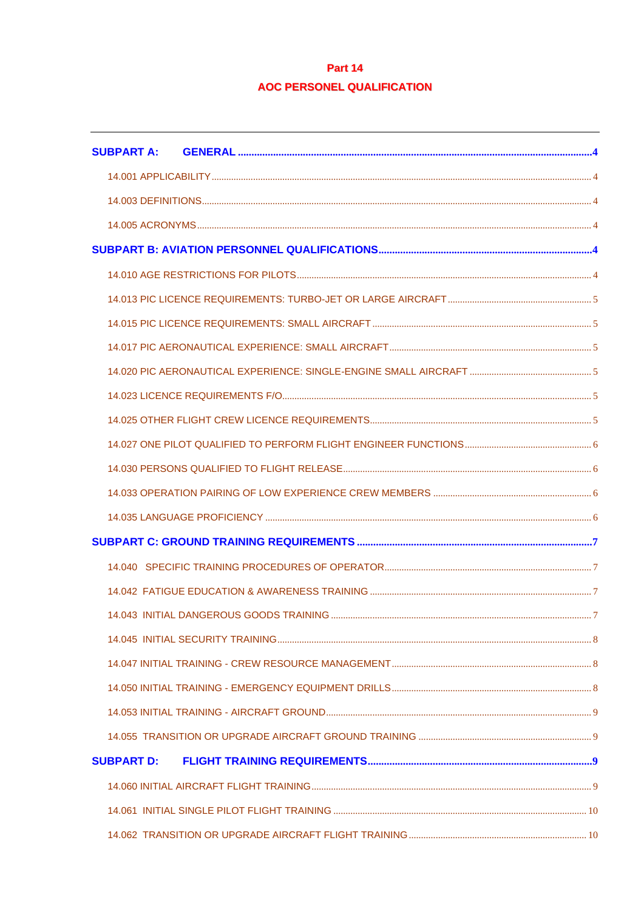# Part 14 **AOC PERSONEL QUALIFICATION**

| <b>SUBPART A:</b> |  |  |  |
|-------------------|--|--|--|
|                   |  |  |  |
|                   |  |  |  |
|                   |  |  |  |
|                   |  |  |  |
|                   |  |  |  |
|                   |  |  |  |
|                   |  |  |  |
|                   |  |  |  |
|                   |  |  |  |
|                   |  |  |  |
|                   |  |  |  |
|                   |  |  |  |
|                   |  |  |  |
|                   |  |  |  |
|                   |  |  |  |
|                   |  |  |  |
|                   |  |  |  |
|                   |  |  |  |
|                   |  |  |  |
|                   |  |  |  |
|                   |  |  |  |
|                   |  |  |  |
|                   |  |  |  |
|                   |  |  |  |
| <b>SUBPART D:</b> |  |  |  |
|                   |  |  |  |
|                   |  |  |  |
|                   |  |  |  |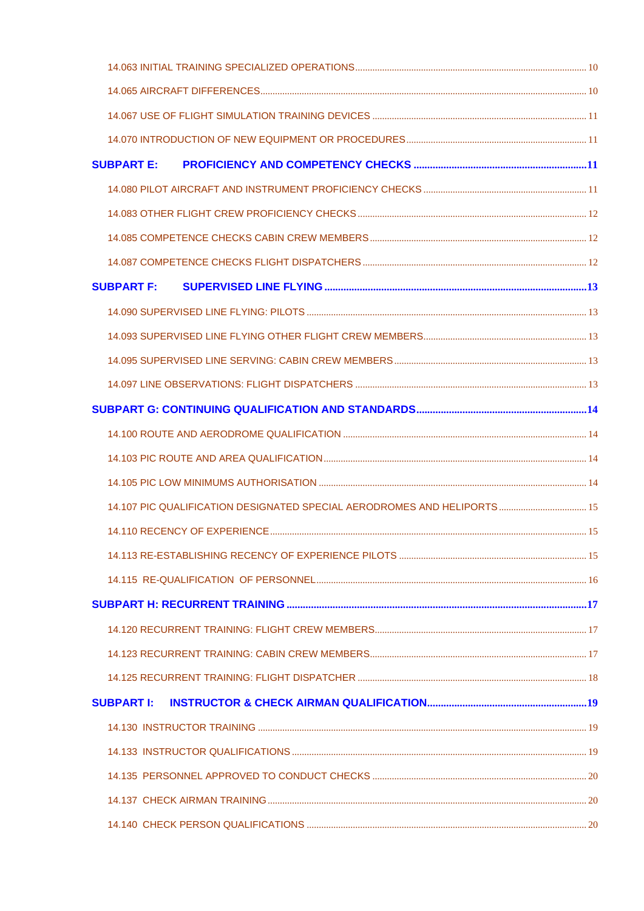| <b>SUBPART E:</b> |                                                                         |  |
|-------------------|-------------------------------------------------------------------------|--|
|                   |                                                                         |  |
|                   |                                                                         |  |
|                   |                                                                         |  |
|                   |                                                                         |  |
| <b>SUBPART F:</b> |                                                                         |  |
|                   |                                                                         |  |
|                   |                                                                         |  |
|                   |                                                                         |  |
|                   |                                                                         |  |
|                   |                                                                         |  |
|                   |                                                                         |  |
|                   |                                                                         |  |
|                   |                                                                         |  |
|                   | 14.107 PIC QUALIFICATION DESIGNATED SPECIAL AERODROMES AND HELIPORTS 15 |  |
|                   |                                                                         |  |
|                   |                                                                         |  |
|                   |                                                                         |  |
|                   |                                                                         |  |
|                   |                                                                         |  |
|                   |                                                                         |  |
|                   |                                                                         |  |
| <b>SUBPART I:</b> |                                                                         |  |
|                   |                                                                         |  |
|                   |                                                                         |  |
|                   |                                                                         |  |
|                   |                                                                         |  |
|                   |                                                                         |  |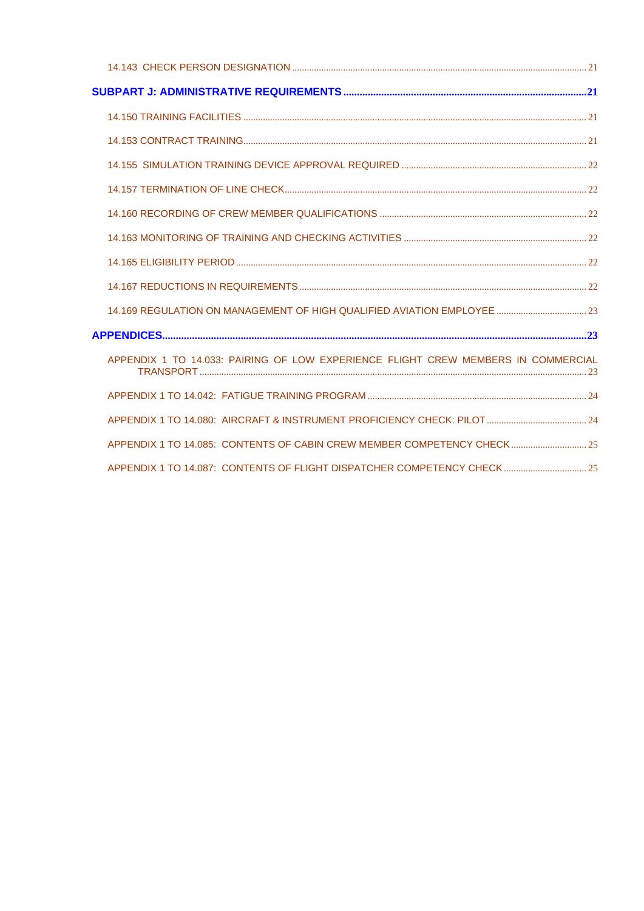| 14.169 REGULATION ON MANAGEMENT OF HIGH QUALIFIED AVIATION EMPLOYEE  23           |  |
|-----------------------------------------------------------------------------------|--|
|                                                                                   |  |
| APPENDIX 1 TO 14.033; PAIRING OF LOW EXPERIENCE FLIGHT CREW MEMBERS IN COMMERCIAL |  |
|                                                                                   |  |
|                                                                                   |  |
| APPENDIX 1 TO 14.085: CONTENTS OF CABIN CREW MEMBER COMPETENCY CHECK 25           |  |
| APPENDIX 1 TO 14.087: CONTENTS OF FLIGHT DISPATCHER COMPETENCY CHECK 25           |  |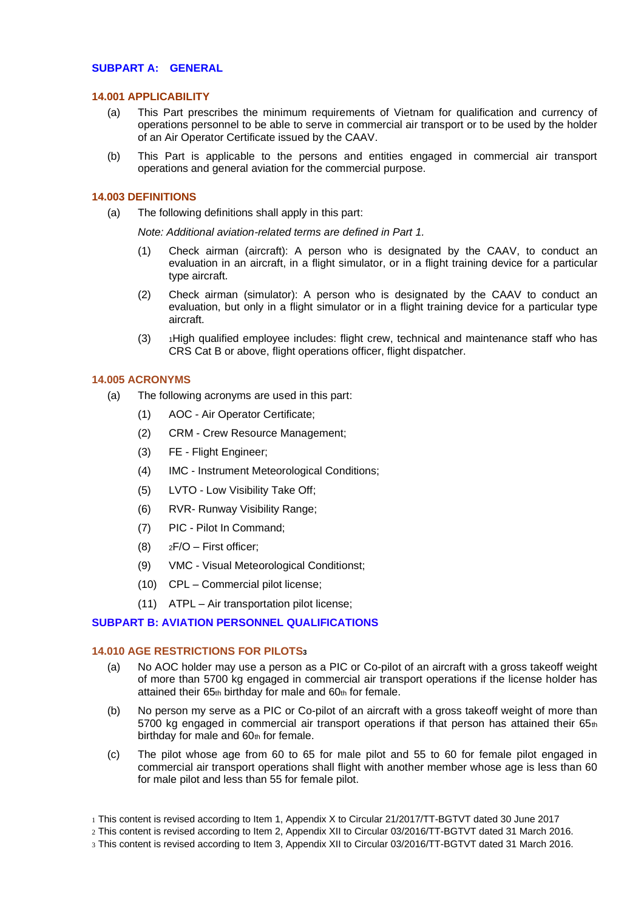# <span id="page-3-0"></span>**SUBPART A: GENERAL**

#### <span id="page-3-1"></span>**14.001 APPLICABILITY**

- (a) This Part prescribes the minimum requirements of Vietnam for qualification and currency of operations personnel to be able to serve in commercial air transport or to be used by the holder of an Air Operator Certificate issued by the CAAV.
- (b) This Part is applicable to the persons and entities engaged in commercial air transport operations and general aviation for the commercial purpose.

#### <span id="page-3-2"></span>**14.003 DEFINITIONS**

(a) The following definitions shall apply in this part:

*Note: Additional aviation-related terms are defined in Part 1.*

- (1) Check airman (aircraft): A person who is designated by the CAAV, to conduct an evaluation in an aircraft, in a flight simulator, or in a flight training device for a particular type aircraft.
- (2) Check airman (simulator): A person who is designated by the CAAV to conduct an evaluation, but only in a flight simulator or in a flight training device for a particular type aircraft.
- (3) <sup>1</sup>High qualified employee includes: flight crew, technical and maintenance staff who has CRS Cat B or above, flight operations officer, flight dispatcher.

#### <span id="page-3-3"></span>**14.005 ACRONYMS**

- (a) The following acronyms are used in this part:
	- (1) AOC Air Operator Certificate;
	- (2) CRM Crew Resource Management;
	- (3) FE Flight Engineer;
	- (4) IMC Instrument Meteorological Conditions;
	- (5) LVTO Low Visibility Take Off;
	- (6) RVR- Runway Visibility Range;
	- (7) PIC Pilot In Command;
	- (8)  $2F/O First officer$ ;
	- (9) VMC Visual Meteorological Conditionst;
	- (10) CPL Commercial pilot license;
	- (11) ATPL Air transportation pilot license;

### <span id="page-3-4"></span>**SUBPART B: AVIATION PERSONNEL QUALIFICATIONS**

#### <span id="page-3-5"></span>**14.010 AGE RESTRICTIONS FOR PILOTS<sup>3</sup>**

- (a) No AOC holder may use a person as a PIC or Co-pilot of an aircraft with a gross takeoff weight of more than 5700 kg engaged in commercial air transport operations if the license holder has attained their 65th birthday for male and 60th for female.
- (b) No person my serve as a PIC or Co-pilot of an aircraft with a gross takeoff weight of more than 5700 kg engaged in commercial air transport operations if that person has attained their  $65<sub>th</sub>$ birthday for male and 60th for female.
- (c) The pilot whose age from 60 to 65 for male pilot and 55 to 60 for female pilot engaged in commercial air transport operations shall flight with another member whose age is less than 60 for male pilot and less than 55 for female pilot.
- 1 This content is revised according to Item 1, Appendix X to Circular 21/2017/TT-BGTVT dated 30 June 2017
- 2 This content is revised according to Item 2, Appendix XII to Circular 03/2016/TT-BGTVT dated 31 March 2016.
- 3 This content is revised according to Item 3, Appendix XII to Circular 03/2016/TT-BGTVT dated 31 March 2016.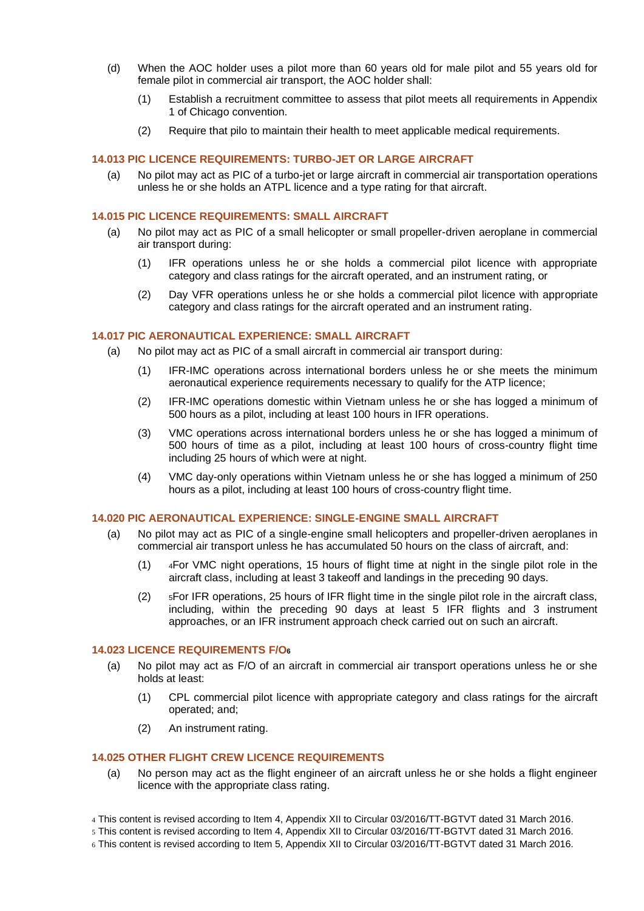- (d) When the AOC holder uses a pilot more than 60 years old for male pilot and 55 years old for female pilot in commercial air transport, the AOC holder shall:
	- (1) Establish a recruitment committee to assess that pilot meets all requirements in Appendix 1 of Chicago convention.
	- (2) Require that pilo to maintain their health to meet applicable medical requirements.

# <span id="page-4-0"></span>**14.013 PIC LICENCE REQUIREMENTS: TURBO-JET OR LARGE AIRCRAFT**

(a) No pilot may act as PIC of a turbo-jet or large aircraft in commercial air transportation operations unless he or she holds an ATPL licence and a type rating for that aircraft.

#### <span id="page-4-1"></span>**14.015 PIC LICENCE REQUIREMENTS: SMALL AIRCRAFT**

- (a) No pilot may act as PIC of a small helicopter or small propeller-driven aeroplane in commercial air transport during:
	- (1) IFR operations unless he or she holds a commercial pilot licence with appropriate category and class ratings for the aircraft operated, and an instrument rating, or
	- (2) Day VFR operations unless he or she holds a commercial pilot licence with appropriate category and class ratings for the aircraft operated and an instrument rating.

### <span id="page-4-2"></span>**14.017 PIC AERONAUTICAL EXPERIENCE: SMALL AIRCRAFT**

- (a) No pilot may act as PIC of a small aircraft in commercial air transport during:
	- (1) IFR-IMC operations across international borders unless he or she meets the minimum aeronautical experience requirements necessary to qualify for the ATP licence;
	- (2) IFR-IMC operations domestic within Vietnam unless he or she has logged a minimum of 500 hours as a pilot, including at least 100 hours in IFR operations.
	- (3) VMC operations across international borders unless he or she has logged a minimum of 500 hours of time as a pilot, including at least 100 hours of cross-country flight time including 25 hours of which were at night.
	- (4) VMC day-only operations within Vietnam unless he or she has logged a minimum of 250 hours as a pilot, including at least 100 hours of cross-country flight time.

# <span id="page-4-3"></span>**14.020 PIC AERONAUTICAL EXPERIENCE: SINGLE-ENGINE SMALL AIRCRAFT**

- (a) No pilot may act as PIC of a single-engine small helicopters and propeller-driven aeroplanes in commercial air transport unless he has accumulated 50 hours on the class of aircraft, and:
	- (1) <sup>4</sup>For VMC night operations, 15 hours of flight time at night in the single pilot role in the aircraft class, including at least 3 takeoff and landings in the preceding 90 days.
	- (2) <sup>5</sup>For IFR operations, 25 hours of IFR flight time in the single pilot role in the aircraft class, including, within the preceding 90 days at least 5 IFR flights and 3 instrument approaches, or an IFR instrument approach check carried out on such an aircraft.

### <span id="page-4-4"></span>**14.023 LICENCE REQUIREMENTS F/O<sup>6</sup>**

- (a) No pilot may act as F/O of an aircraft in commercial air transport operations unless he or she holds at least:
	- (1) CPL commercial pilot licence with appropriate category and class ratings for the aircraft operated; and;
	- (2) An instrument rating.

# <span id="page-4-5"></span>**14.025 OTHER FLIGHT CREW LICENCE REQUIREMENTS**

- (a) No person may act as the flight engineer of an aircraft unless he or she holds a flight engineer licence with the appropriate class rating.
- 4 This content is revised according to Item 4, Appendix XII to Circular 03/2016/TT-BGTVT dated 31 March 2016.
- 5 This content is revised according to Item 4, Appendix XII to Circular 03/2016/TT-BGTVT dated 31 March 2016.
- 6 This content is revised according to Item 5, Appendix XII to Circular 03/2016/TT-BGTVT dated 31 March 2016.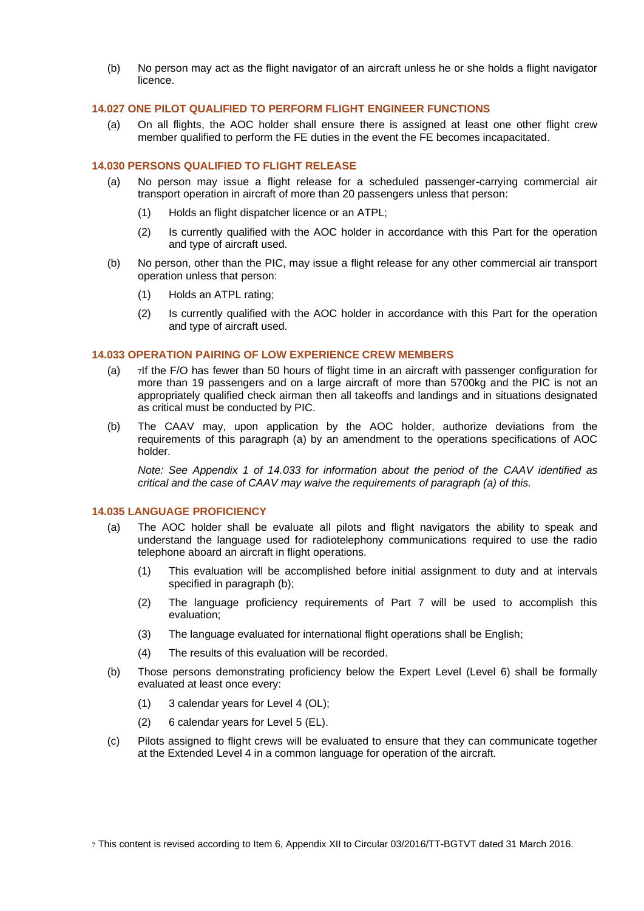(b) No person may act as the flight navigator of an aircraft unless he or she holds a flight navigator licence.

# <span id="page-5-0"></span>**14.027 ONE PILOT QUALIFIED TO PERFORM FLIGHT ENGINEER FUNCTIONS**

(a) On all flights, the AOC holder shall ensure there is assigned at least one other flight crew member qualified to perform the FE duties in the event the FE becomes incapacitated.

# <span id="page-5-1"></span>**14.030 PERSONS QUALIFIED TO FLIGHT RELEASE**

- (a) No person may issue a flight release for a scheduled passenger-carrying commercial air transport operation in aircraft of more than 20 passengers unless that person:
	- (1) Holds an flight dispatcher licence or an ATPL;
	- (2) Is currently qualified with the AOC holder in accordance with this Part for the operation and type of aircraft used.
- (b) No person, other than the PIC, may issue a flight release for any other commercial air transport operation unless that person:
	- (1) Holds an ATPL rating;
	- (2) Is currently qualified with the AOC holder in accordance with this Part for the operation and type of aircraft used.

### <span id="page-5-2"></span>**14.033 OPERATION PAIRING OF LOW EXPERIENCE CREW MEMBERS**

- (a) <sup>7</sup>If the F/O has fewer than 50 hours of flight time in an aircraft with passenger configuration for more than 19 passengers and on a large aircraft of more than 5700kg and the PIC is not an appropriately qualified check airman then all takeoffs and landings and in situations designated as critical must be conducted by PIC.
- (b) The CAAV may, upon application by the AOC holder, authorize deviations from the requirements of this paragraph (a) by an amendment to the operations specifications of AOC holder.

*Note: See Appendix 1 of 14.033 for information about the period of the CAAV identified as critical and the case of CAAV may waive the requirements of paragraph (a) of this.*

### <span id="page-5-3"></span>**14.035 LANGUAGE PROFICIENCY**

- (a) The AOC holder shall be evaluate all pilots and flight navigators the ability to speak and understand the language used for radiotelephony communications required to use the radio telephone aboard an aircraft in flight operations.
	- (1) This evaluation will be accomplished before initial assignment to duty and at intervals specified in paragraph (b);
	- (2) The language proficiency requirements of Part 7 will be used to accomplish this evaluation;
	- (3) The language evaluated for international flight operations shall be English;
	- (4) The results of this evaluation will be recorded.
- (b) Those persons demonstrating proficiency below the Expert Level (Level 6) shall be formally evaluated at least once every:
	- (1) 3 calendar years for Level 4 (OL);
	- (2) 6 calendar years for Level 5 (EL).
- (c) Pilots assigned to flight crews will be evaluated to ensure that they can communicate together at the Extended Level 4 in a common language for operation of the aircraft.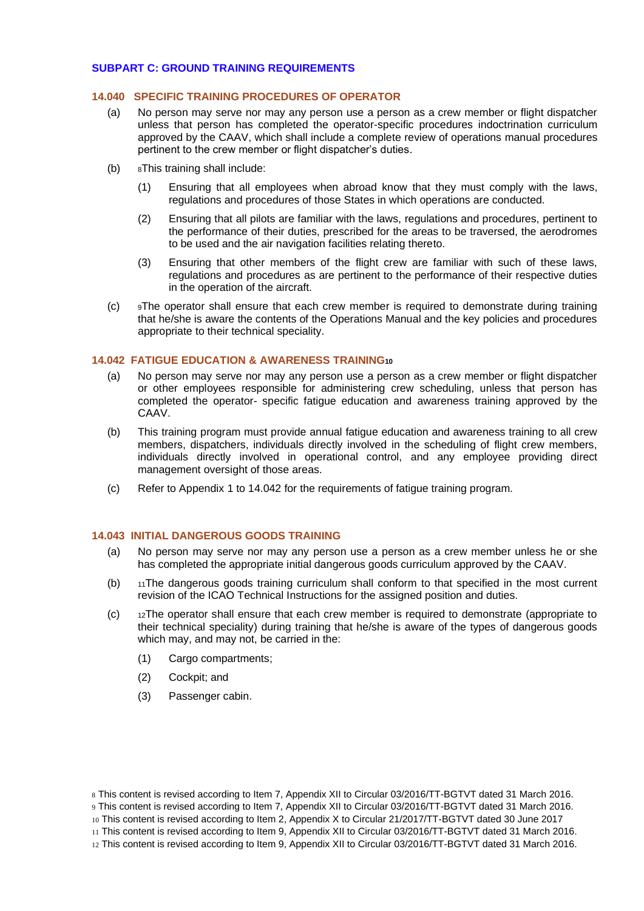# <span id="page-6-0"></span>**SUBPART C: GROUND TRAINING REQUIREMENTS**

#### <span id="page-6-1"></span>**14.040 SPECIFIC TRAINING PROCEDURES OF OPERATOR**

- (a) No person may serve nor may any person use a person as a crew member or flight dispatcher unless that person has completed the operator-specific procedures indoctrination curriculum approved by the CAAV, which shall include a complete review of operations manual procedures pertinent to the crew member or flight dispatcher's duties.
- (b) <sup>8</sup>This training shall include:
	- (1) Ensuring that all employees when abroad know that they must comply with the laws, regulations and procedures of those States in which operations are conducted.
	- (2) Ensuring that all pilots are familiar with the laws, regulations and procedures, pertinent to the performance of their duties, prescribed for the areas to be traversed, the aerodromes to be used and the air navigation facilities relating thereto.
	- (3) Ensuring that other members of the flight crew are familiar with such of these laws, regulations and procedures as are pertinent to the performance of their respective duties in the operation of the aircraft.
- $(c)$  9The operator shall ensure that each crew member is required to demonstrate during training that he/she is aware the contents of the Operations Manual and the key policies and procedures appropriate to their technical speciality.

### <span id="page-6-2"></span>**14.042 FATIGUE EDUCATION & AWARENESS TRAINING<sup>10</sup>**

- (a) No person may serve nor may any person use a person as a crew member or flight dispatcher or other employees responsible for administering crew scheduling, unless that person has completed the operator- specific fatigue education and awareness training approved by the CAAV.
- (b) This training program must provide annual fatigue education and awareness training to all crew members, dispatchers, individuals directly involved in the scheduling of flight crew members, individuals directly involved in operational control, and any employee providing direct management oversight of those areas.
- (c) Refer to Appendix 1 to 14.042 for the requirements of fatigue training program.

### <span id="page-6-3"></span>**14.043 INITIAL DANGEROUS GOODS TRAINING**

- (a) No person may serve nor may any person use a person as a crew member unless he or she has completed the appropriate initial dangerous goods curriculum approved by the CAAV.
- (b) <sup>11</sup>The dangerous goods training curriculum shall conform to that specified in the most current revision of the ICAO Technical Instructions for the assigned position and duties.
- $(c)$  12The operator shall ensure that each crew member is required to demonstrate (appropriate to their technical speciality) during training that he/she is aware of the types of dangerous goods which may, and may not, be carried in the:
	- (1) Cargo compartments;
	- (2) Cockpit; and
	- (3) Passenger cabin.

8 This content is revised according to Item 7, Appendix XII to Circular 03/2016/TT-BGTVT dated 31 March 2016. 9 This content is revised according to Item 7, Appendix XII to Circular 03/2016/TT-BGTVT dated 31 March 2016.

10 This content is revised according to Item 2, Appendix X to Circular 21/2017/TT-BGTVT dated 30 June 2017

<sup>11</sup> This content is revised according to Item 9, Appendix XII to Circular 03/2016/TT-BGTVT dated 31 March 2016.

<sup>12</sup> This content is revised according to Item 9, Appendix XII to Circular 03/2016/TT-BGTVT dated 31 March 2016.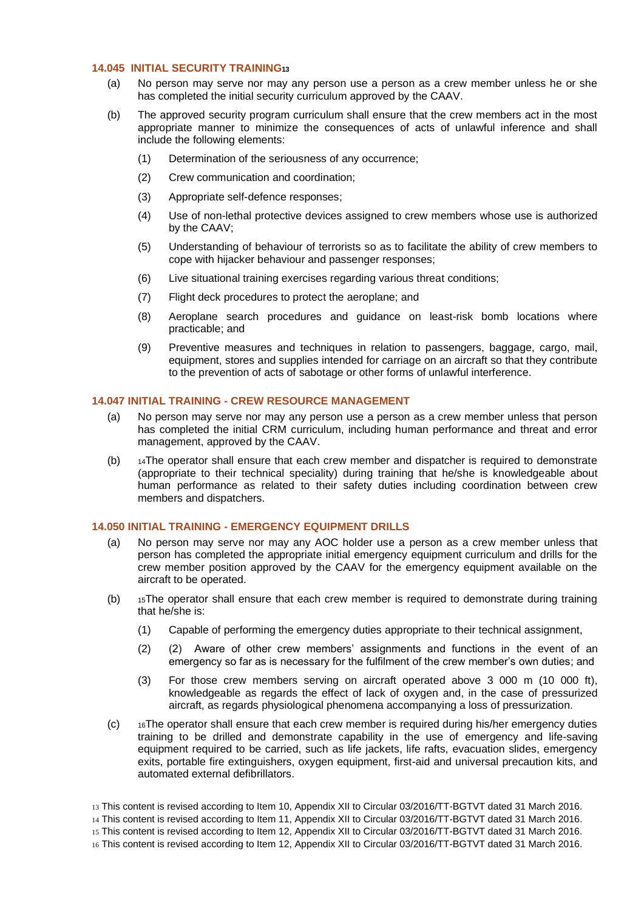### <span id="page-7-0"></span>**14.045 INITIAL SECURITY TRAINING<sup>13</sup>**

- (a) No person may serve nor may any person use a person as a crew member unless he or she has completed the initial security curriculum approved by the CAAV.
- (b) The approved security program curriculum shall ensure that the crew members act in the most appropriate manner to minimize the consequences of acts of unlawful inference and shall include the following elements:
	- (1) Determination of the seriousness of any occurrence;
	- (2) Crew communication and coordination;
	- (3) Appropriate self-defence responses;
	- (4) Use of non-lethal protective devices assigned to crew members whose use is authorized by the CAAV;
	- (5) Understanding of behaviour of terrorists so as to facilitate the ability of crew members to cope with hijacker behaviour and passenger responses;
	- (6) Live situational training exercises regarding various threat conditions;
	- (7) Flight deck procedures to protect the aeroplane; and
	- (8) Aeroplane search procedures and guidance on least-risk bomb locations where practicable; and
	- (9) Preventive measures and techniques in relation to passengers, baggage, cargo, mail, equipment, stores and supplies intended for carriage on an aircraft so that they contribute to the prevention of acts of sabotage or other forms of unlawful interference.

# <span id="page-7-1"></span>**14.047 INITIAL TRAINING - CREW RESOURCE MANAGEMENT**

- (a) No person may serve nor may any person use a person as a crew member unless that person has completed the initial CRM curriculum, including human performance and threat and error management, approved by the CAAV.
- (b)  $14$ The operator shall ensure that each crew member and dispatcher is required to demonstrate (appropriate to their technical speciality) during training that he/she is knowledgeable about human performance as related to their safety duties including coordination between crew members and dispatchers.

# <span id="page-7-2"></span>**14.050 INITIAL TRAINING - EMERGENCY EQUIPMENT DRILLS**

- (a) No person may serve nor may any AOC holder use a person as a crew member unless that person has completed the appropriate initial emergency equipment curriculum and drills for the crew member position approved by the CAAV for the emergency equipment available on the aircraft to be operated.
- (b) <sup>15</sup>The operator shall ensure that each crew member is required to demonstrate during training that he/she is:
	- (1) Capable of performing the emergency duties appropriate to their technical assignment,
	- (2) (2) Aware of other crew members' assignments and functions in the event of an emergency so far as is necessary for the fulfilment of the crew member's own duties; and
	- (3) For those crew members serving on aircraft operated above 3 000 m (10 000 ft), knowledgeable as regards the effect of lack of oxygen and, in the case of pressurized aircraft, as regards physiological phenomena accompanying a loss of pressurization.
- $(c)$  16The operator shall ensure that each crew member is required during his/her emergency duties training to be drilled and demonstrate capability in the use of emergency and life-saving equipment required to be carried, such as life jackets, life rafts, evacuation slides, emergency exits, portable fire extinguishers, oxygen equipment, first-aid and universal precaution kits, and automated external defibrillators.
- 13 This content is revised according to Item 10, Appendix XII to Circular 03/2016/TT-BGTVT dated 31 March 2016.
- 14 This content is revised according to Item 11, Appendix XII to Circular 03/2016/TT-BGTVT dated 31 March 2016.

16 This content is revised according to Item 12, Appendix XII to Circular 03/2016/TT-BGTVT dated 31 March 2016.

<sup>15</sup> This content is revised according to Item 12, Appendix XII to Circular 03/2016/TT-BGTVT dated 31 March 2016.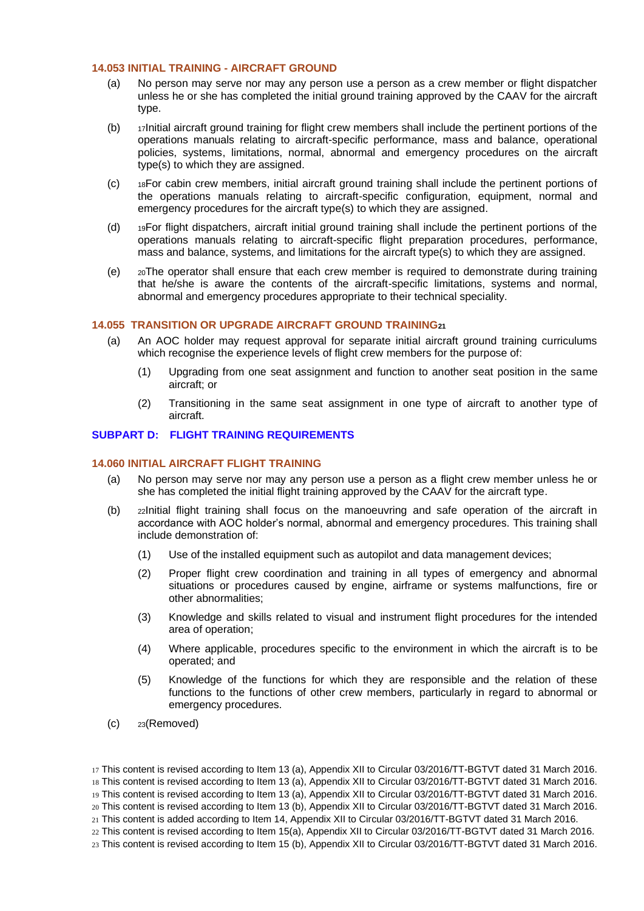### <span id="page-8-0"></span>**14.053 INITIAL TRAINING - AIRCRAFT GROUND**

- (a) No person may serve nor may any person use a person as a crew member or flight dispatcher unless he or she has completed the initial ground training approved by the CAAV for the aircraft type.
- (b) <sup>17</sup>Initial aircraft ground training for flight crew members shall include the pertinent portions of the operations manuals relating to aircraft-specific performance, mass and balance, operational policies, systems, limitations, normal, abnormal and emergency procedures on the aircraft type(s) to which they are assigned.
- (c) <sup>18</sup>For cabin crew members, initial aircraft ground training shall include the pertinent portions of the operations manuals relating to aircraft-specific configuration, equipment, normal and emergency procedures for the aircraft type(s) to which they are assigned.
- (d) <sup>19</sup>For flight dispatchers, aircraft initial ground training shall include the pertinent portions of the operations manuals relating to aircraft-specific flight preparation procedures, performance, mass and balance, systems, and limitations for the aircraft type(s) to which they are assigned.
- (e) <sup>20</sup>The operator shall ensure that each crew member is required to demonstrate during training that he/she is aware the contents of the aircraft-specific limitations, systems and normal, abnormal and emergency procedures appropriate to their technical speciality.

### <span id="page-8-1"></span>**14.055 TRANSITION OR UPGRADE AIRCRAFT GROUND TRAINING<sup>21</sup>**

- (a) An AOC holder may request approval for separate initial aircraft ground training curriculums which recognise the experience levels of flight crew members for the purpose of:
	- (1) Upgrading from one seat assignment and function to another seat position in the same aircraft; or
	- (2) Transitioning in the same seat assignment in one type of aircraft to another type of aircraft.

### <span id="page-8-2"></span>**SUBPART D: FLIGHT TRAINING REQUIREMENTS**

#### <span id="page-8-3"></span>**14.060 INITIAL AIRCRAFT FLIGHT TRAINING**

- (a) No person may serve nor may any person use a person as a flight crew member unless he or she has completed the initial flight training approved by the CAAV for the aircraft type.
- (b) <sup>22</sup>Initial flight training shall focus on the manoeuvring and safe operation of the aircraft in accordance with AOC holder's normal, abnormal and emergency procedures. This training shall include demonstration of:
	- (1) Use of the installed equipment such as autopilot and data management devices;
	- (2) Proper flight crew coordination and training in all types of emergency and abnormal situations or procedures caused by engine, airframe or systems malfunctions, fire or other abnormalities;
	- (3) Knowledge and skills related to visual and instrument flight procedures for the intended area of operation;
	- (4) Where applicable, procedures specific to the environment in which the aircraft is to be operated; and
	- (5) Knowledge of the functions for which they are responsible and the relation of these functions to the functions of other crew members, particularly in regard to abnormal or emergency procedures.
- (c) <sup>23</sup>(Removed)

 This content is revised according to Item 13 (a), Appendix XII to Circular 03/2016/TT-BGTVT dated 31 March 2016. This content is revised according to Item 13 (a), Appendix XII to Circular 03/2016/TT-BGTVT dated 31 March 2016. This content is revised according to Item 13 (a), Appendix XII to Circular 03/2016/TT-BGTVT dated 31 March 2016. This content is revised according to Item 13 (b), Appendix XII to Circular 03/2016/TT-BGTVT dated 31 March 2016. This content is added according to Item 14, Appendix XII to Circular 03/2016/TT-BGTVT dated 31 March 2016. This content is revised according to Item 15(a), Appendix XII to Circular 03/2016/TT-BGTVT dated 31 March 2016. This content is revised according to Item 15 (b), Appendix XII to Circular 03/2016/TT-BGTVT dated 31 March 2016.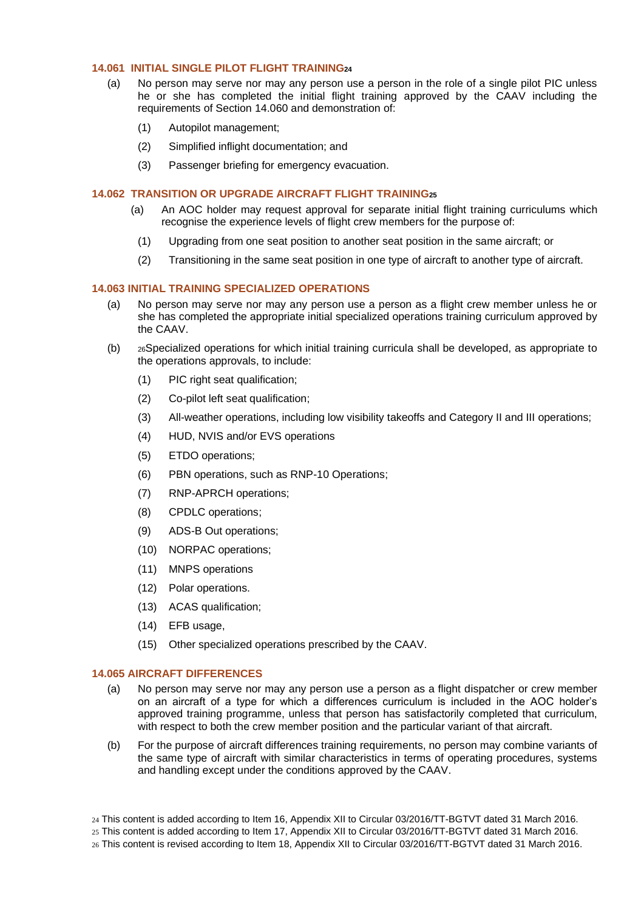# <span id="page-9-0"></span>**14.061 INITIAL SINGLE PILOT FLIGHT TRAINING<sup>24</sup>**

- (a) No person may serve nor may any person use a person in the role of a single pilot PIC unless he or she has completed the initial flight training approved by the CAAV including the requirements of Section 14.060 and demonstration of:
	- (1) Autopilot management;
	- (2) Simplified inflight documentation; and
	- (3) Passenger briefing for emergency evacuation.

#### <span id="page-9-1"></span>**14.062 TRANSITION OR UPGRADE AIRCRAFT FLIGHT TRAINING<sup>25</sup>**

- (a) An AOC holder may request approval for separate initial flight training curriculums which recognise the experience levels of flight crew members for the purpose of:
	- (1) Upgrading from one seat position to another seat position in the same aircraft; or
	- (2) Transitioning in the same seat position in one type of aircraft to another type of aircraft.

# <span id="page-9-2"></span>**14.063 INITIAL TRAINING SPECIALIZED OPERATIONS**

- (a) No person may serve nor may any person use a person as a flight crew member unless he or she has completed the appropriate initial specialized operations training curriculum approved by the CAAV.
- (b) <sup>26</sup>Specialized operations for which initial training curricula shall be developed, as appropriate to the operations approvals, to include:
	- (1) PIC right seat qualification;
	- (2) Co-pilot left seat qualification;
	- (3) All-weather operations, including low visibility takeoffs and Category II and III operations;
	- (4) HUD, NVIS and/or EVS operations
	- (5) ETDO operations;
	- (6) PBN operations, such as RNP-10 Operations;
	- (7) RNP-APRCH operations;
	- (8) CPDLC operations;
	- (9) ADS-B Out operations;
	- (10) NORPAC operations;
	- (11) MNPS operations
	- (12) Polar operations.
	- (13) ACAS qualification;
	- (14) EFB usage,
	- (15) Other specialized operations prescribed by the CAAV.

#### <span id="page-9-3"></span>**14.065 AIRCRAFT DIFFERENCES**

- (a) No person may serve nor may any person use a person as a flight dispatcher or crew member on an aircraft of a type for which a differences curriculum is included in the AOC holder's approved training programme, unless that person has satisfactorily completed that curriculum, with respect to both the crew member position and the particular variant of that aircraft.
- (b) For the purpose of aircraft differences training requirements, no person may combine variants of the same type of aircraft with similar characteristics in terms of operating procedures, systems and handling except under the conditions approved by the CAAV.
- 24 This content is added according to Item 16, Appendix XII to Circular 03/2016/TT-BGTVT dated 31 March 2016.
- 25 This content is added according to Item 17, Appendix XII to Circular 03/2016/TT-BGTVT dated 31 March 2016.
- 26 This content is revised according to Item 18, Appendix XII to Circular 03/2016/TT-BGTVT dated 31 March 2016.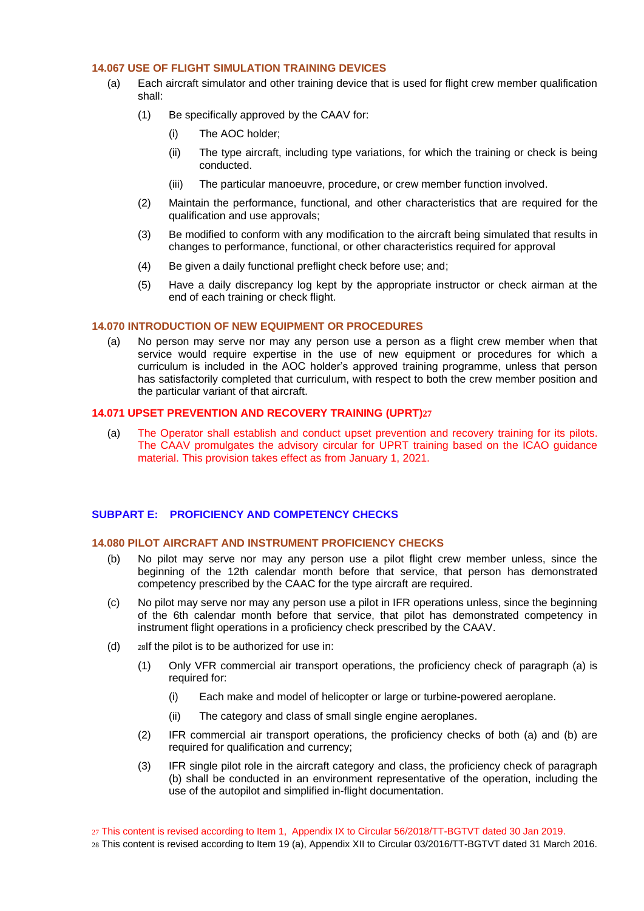# <span id="page-10-0"></span>**14.067 USE OF FLIGHT SIMULATION TRAINING DEVICES**

- (a) Each aircraft simulator and other training device that is used for flight crew member qualification shall:
	- (1) Be specifically approved by the CAAV for:
		- (i) The AOC holder;
		- (ii) The type aircraft, including type variations, for which the training or check is being conducted.
		- (iii) The particular manoeuvre, procedure, or crew member function involved.
	- (2) Maintain the performance, functional, and other characteristics that are required for the qualification and use approvals;
	- (3) Be modified to conform with any modification to the aircraft being simulated that results in changes to performance, functional, or other characteristics required for approval
	- (4) Be given a daily functional preflight check before use; and;
	- (5) Have a daily discrepancy log kept by the appropriate instructor or check airman at the end of each training or check flight.

# <span id="page-10-1"></span>**14.070 INTRODUCTION OF NEW EQUIPMENT OR PROCEDURES**

(a) No person may serve nor may any person use a person as a flight crew member when that service would require expertise in the use of new equipment or procedures for which a curriculum is included in the AOC holder's approved training programme, unless that person has satisfactorily completed that curriculum, with respect to both the crew member position and the particular variant of that aircraft.

#### **14.071 UPSET PREVENTION AND RECOVERY TRAINING (UPRT)27**

(a) The Operator shall establish and conduct upset prevention and recovery training for its pilots. The CAAV promulgates the advisory circular for UPRT training based on the ICAO guidance material. This provision takes effect as from January 1, 2021.

#### <span id="page-10-2"></span>**SUBPART E: PROFICIENCY AND COMPETENCY CHECKS**

### <span id="page-10-3"></span>**14.080 PILOT AIRCRAFT AND INSTRUMENT PROFICIENCY CHECKS**

- (b) No pilot may serve nor may any person use a pilot flight crew member unless, since the beginning of the 12th calendar month before that service, that person has demonstrated competency prescribed by the CAAC for the type aircraft are required.
- (c) No pilot may serve nor may any person use a pilot in IFR operations unless, since the beginning of the 6th calendar month before that service, that pilot has demonstrated competency in instrument flight operations in a proficiency check prescribed by the CAAV.
- (d) <sup>28</sup>If the pilot is to be authorized for use in:
	- (1) Only VFR commercial air transport operations, the proficiency check of paragraph (a) is required for:
		- (i) Each make and model of helicopter or large or turbine-powered aeroplane.
		- (ii) The category and class of small single engine aeroplanes.
	- (2) IFR commercial air transport operations, the proficiency checks of both (a) and (b) are required for qualification and currency;
	- (3) IFR single pilot role in the aircraft category and class, the proficiency check of paragraph (b) shall be conducted in an environment representative of the operation, including the use of the autopilot and simplified in-flight documentation.

27 This content is revised according to Item 1, Appendix IX to Circular 56/2018/TT-BGTVT dated 30 Jan 2019. 28 This content is revised according to Item 19 (a), Appendix XII to Circular 03/2016/TT-BGTVT dated 31 March 2016.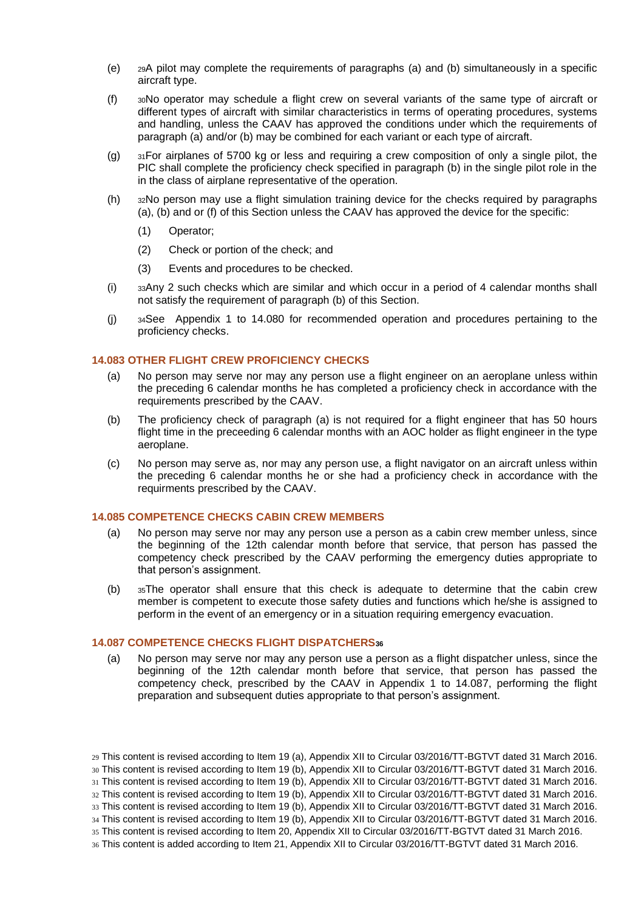- (e) <sup>29</sup>A pilot may complete the requirements of paragraphs (a) and (b) simultaneously in a specific aircraft type.
- (f) <sup>30</sup>No operator may schedule a flight crew on several variants of the same type of aircraft or different types of aircraft with similar characteristics in terms of operating procedures, systems and handling, unless the CAAV has approved the conditions under which the requirements of paragraph (a) and/or (b) may be combined for each variant or each type of aircraft.
- (g)  $31$ For airplanes of 5700 kg or less and requiring a crew composition of only a single pilot, the PIC shall complete the proficiency check specified in paragraph (b) in the single pilot role in the in the class of airplane representative of the operation.
- (h) <sup>32</sup>No person may use a flight simulation training device for the checks required by paragraphs (a), (b) and or (f) of this Section unless the CAAV has approved the device for the specific:
	- (1) Operator;
	- (2) Check or portion of the check; and
	- (3) Events and procedures to be checked.
- (i) <sup>33</sup>Any 2 such checks which are similar and which occur in a period of 4 calendar months shall not satisfy the requirement of paragraph (b) of this Section.
- (j) <sup>34</sup>See Appendix 1 to 14.080 for recommended operation and procedures pertaining to the proficiency checks.

### <span id="page-11-0"></span>**14.083 OTHER FLIGHT CREW PROFICIENCY CHECKS**

- (a) No person may serve nor may any person use a flight engineer on an aeroplane unless within the preceding 6 calendar months he has completed a proficiency check in accordance with the requirements prescribed by the CAAV.
- (b) The proficiency check of paragraph (a) is not required for a flight engineer that has 50 hours flight time in the preceeding 6 calendar months with an AOC holder as flight engineer in the type aeroplane.
- (c) No person may serve as, nor may any person use, a flight navigator on an aircraft unless within the preceding 6 calendar months he or she had a proficiency check in accordance with the requirments prescribed by the CAAV.

# <span id="page-11-1"></span>**14.085 COMPETENCE CHECKS CABIN CREW MEMBERS**

- (a) No person may serve nor may any person use a person as a cabin crew member unless, since the beginning of the 12th calendar month before that service, that person has passed the competency check prescribed by the CAAV performing the emergency duties appropriate to that person's assignment.
- (b) <sup>35</sup>The operator shall ensure that this check is adequate to determine that the cabin crew member is competent to execute those safety duties and functions which he/she is assigned to perform in the event of an emergency or in a situation requiring emergency evacuation.

#### <span id="page-11-2"></span>**14.087 COMPETENCE CHECKS FLIGHT DISPATCHERS<sup>36</sup>**

(a) No person may serve nor may any person use a person as a flight dispatcher unless, since the beginning of the 12th calendar month before that service, that person has passed the competency check, prescribed by the CAAV in Appendix 1 to 14.087, performing the flight preparation and subsequent duties appropriate to that person's assignment.

<sup>29</sup> This content is revised according to Item 19 (a), Appendix XII to Circular 03/2016/TT-BGTVT dated 31 March 2016. 30 This content is revised according to Item 19 (b), Appendix XII to Circular 03/2016/TT-BGTVT dated 31 March 2016. 31 This content is revised according to Item 19 (b), Appendix XII to Circular 03/2016/TT-BGTVT dated 31 March 2016. 32 This content is revised according to Item 19 (b), Appendix XII to Circular 03/2016/TT-BGTVT dated 31 March 2016. 33 This content is revised according to Item 19 (b), Appendix XII to Circular 03/2016/TT-BGTVT dated 31 March 2016. 34 This content is revised according to Item 19 (b), Appendix XII to Circular 03/2016/TT-BGTVT dated 31 March 2016. 35 This content is revised according to Item 20, Appendix XII to Circular 03/2016/TT-BGTVT dated 31 March 2016.

<sup>36</sup> This content is added according to Item 21, Appendix XII to Circular 03/2016/TT-BGTVT dated 31 March 2016.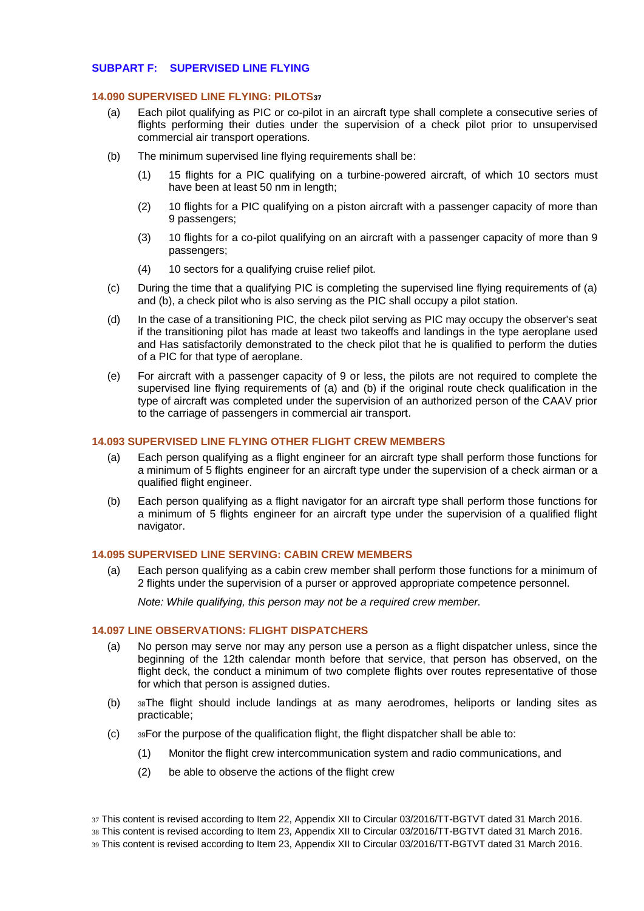### <span id="page-12-0"></span>**SUBPART F: SUPERVISED LINE FLYING**

#### <span id="page-12-1"></span>**14.090 SUPERVISED LINE FLYING: PILOTS<sup>37</sup>**

- (a) Each pilot qualifying as PIC or co-pilot in an aircraft type shall complete a consecutive series of flights performing their duties under the supervision of a check pilot prior to unsupervised commercial air transport operations.
- (b) The minimum supervised line flying requirements shall be:
	- (1) 15 flights for a PIC qualifying on a turbine-powered aircraft, of which 10 sectors must have been at least 50 nm in length;
	- (2) 10 flights for a PIC qualifying on a piston aircraft with a passenger capacity of more than 9 passengers;
	- (3) 10 flights for a co-pilot qualifying on an aircraft with a passenger capacity of more than 9 passengers;
	- (4) 10 sectors for a qualifying cruise relief pilot.
- (c) During the time that a qualifying PIC is completing the supervised line flying requirements of (a) and (b), a check pilot who is also serving as the PIC shall occupy a pilot station.
- (d) In the case of a transitioning PIC, the check pilot serving as PIC may occupy the observer's seat if the transitioning pilot has made at least two takeoffs and landings in the type aeroplane used and Has satisfactorily demonstrated to the check pilot that he is qualified to perform the duties of a PIC for that type of aeroplane.
- (e) For aircraft with a passenger capacity of 9 or less, the pilots are not required to complete the supervised line flying requirements of (a) and (b) if the original route check qualification in the type of aircraft was completed under the supervision of an authorized person of the CAAV prior to the carriage of passengers in commercial air transport.

#### <span id="page-12-2"></span>**14.093 SUPERVISED LINE FLYING OTHER FLIGHT CREW MEMBERS**

- (a) Each person qualifying as a flight engineer for an aircraft type shall perform those functions for a minimum of 5 flights engineer for an aircraft type under the supervision of a check airman or a qualified flight engineer.
- (b) Each person qualifying as a flight navigator for an aircraft type shall perform those functions for a minimum of 5 flights engineer for an aircraft type under the supervision of a qualified flight navigator.

#### <span id="page-12-3"></span>**14.095 SUPERVISED LINE SERVING: CABIN CREW MEMBERS**

(a) Each person qualifying as a cabin crew member shall perform those functions for a minimum of 2 flights under the supervision of a purser or approved appropriate competence personnel.

*Note: While qualifying, this person may not be a required crew member.*

#### <span id="page-12-4"></span>**14.097 LINE OBSERVATIONS: FLIGHT DISPATCHERS**

- (a) No person may serve nor may any person use a person as a flight dispatcher unless, since the beginning of the 12th calendar month before that service, that person has observed, on the flight deck, the conduct a minimum of two complete flights over routes representative of those for which that person is assigned duties.
- (b) <sup>38</sup>The flight should include landings at as many aerodromes, heliports or landing sites as practicable;
- (c) <sup>39</sup>For the purpose of the qualification flight, the flight dispatcher shall be able to:
	- (1) Monitor the flight crew intercommunication system and radio communications, and
	- (2) be able to observe the actions of the flight crew

37 This content is revised according to Item 22, Appendix XII to Circular 03/2016/TT-BGTVT dated 31 March 2016.

38 This content is revised according to Item 23, Appendix XII to Circular 03/2016/TT-BGTVT dated 31 March 2016.

39 This content is revised according to Item 23, Appendix XII to Circular 03/2016/TT-BGTVT dated 31 March 2016.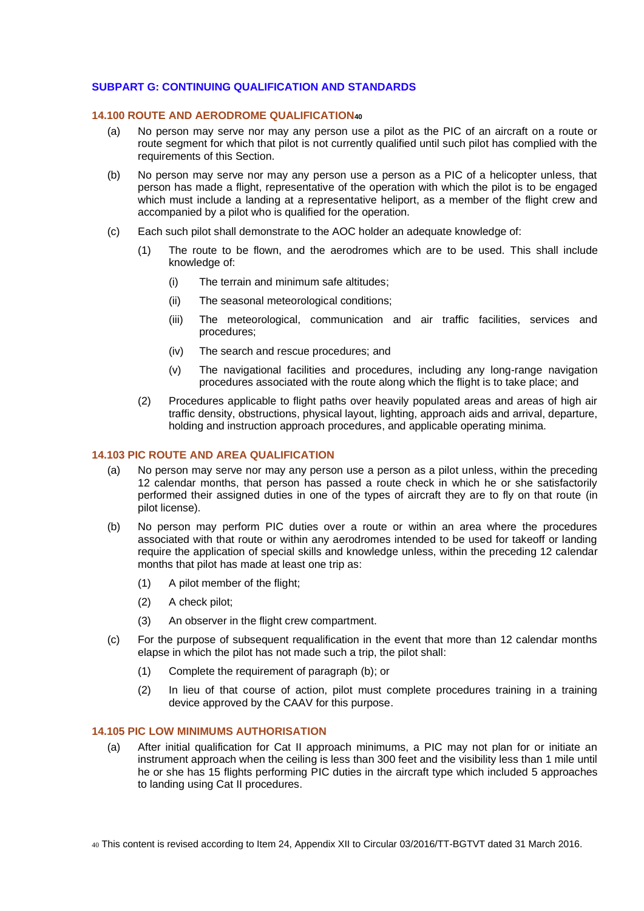# <span id="page-13-0"></span>**SUBPART G: CONTINUING QUALIFICATION AND STANDARDS**

#### <span id="page-13-1"></span>**14.100 ROUTE AND AERODROME QUALIFICATION<sup>40</sup>**

- (a) No person may serve nor may any person use a pilot as the PIC of an aircraft on a route or route segment for which that pilot is not currently qualified until such pilot has complied with the requirements of this Section.
- (b) No person may serve nor may any person use a person as a PIC of a helicopter unless, that person has made a flight, representative of the operation with which the pilot is to be engaged which must include a landing at a representative heliport, as a member of the flight crew and accompanied by a pilot who is qualified for the operation.
- (c) Each such pilot shall demonstrate to the AOC holder an adequate knowledge of:
	- (1) The route to be flown, and the aerodromes which are to be used. This shall include knowledge of:
		- (i) The terrain and minimum safe altitudes;
		- (ii) The seasonal meteorological conditions;
		- (iii) The meteorological, communication and air traffic facilities, services and procedures;
		- (iv) The search and rescue procedures; and
		- (v) The navigational facilities and procedures, including any long-range navigation procedures associated with the route along which the flight is to take place; and
	- (2) Procedures applicable to flight paths over heavily populated areas and areas of high air traffic density, obstructions, physical layout, lighting, approach aids and arrival, departure, holding and instruction approach procedures, and applicable operating minima.

#### <span id="page-13-2"></span>**14.103 PIC ROUTE AND AREA QUALIFICATION**

- (a) No person may serve nor may any person use a person as a pilot unless, within the preceding 12 calendar months, that person has passed a route check in which he or she satisfactorily performed their assigned duties in one of the types of aircraft they are to fly on that route (in pilot license).
- (b) No person may perform PIC duties over a route or within an area where the procedures associated with that route or within any aerodromes intended to be used for takeoff or landing require the application of special skills and knowledge unless, within the preceding 12 calendar months that pilot has made at least one trip as:
	- (1) A pilot member of the flight;
	- (2) A check pilot;
	- (3) An observer in the flight crew compartment.
- (c) For the purpose of subsequent requalification in the event that more than 12 calendar months elapse in which the pilot has not made such a trip, the pilot shall:
	- (1) Complete the requirement of paragraph (b); or
	- (2) In lieu of that course of action, pilot must complete procedures training in a training device approved by the CAAV for this purpose.

# <span id="page-13-3"></span>**14.105 PIC LOW MINIMUMS AUTHORISATION**

(a) After initial qualification for Cat II approach minimums, a PIC may not plan for or initiate an instrument approach when the ceiling is less than 300 feet and the visibility less than 1 mile until he or she has 15 flights performing PIC duties in the aircraft type which included 5 approaches to landing using Cat II procedures.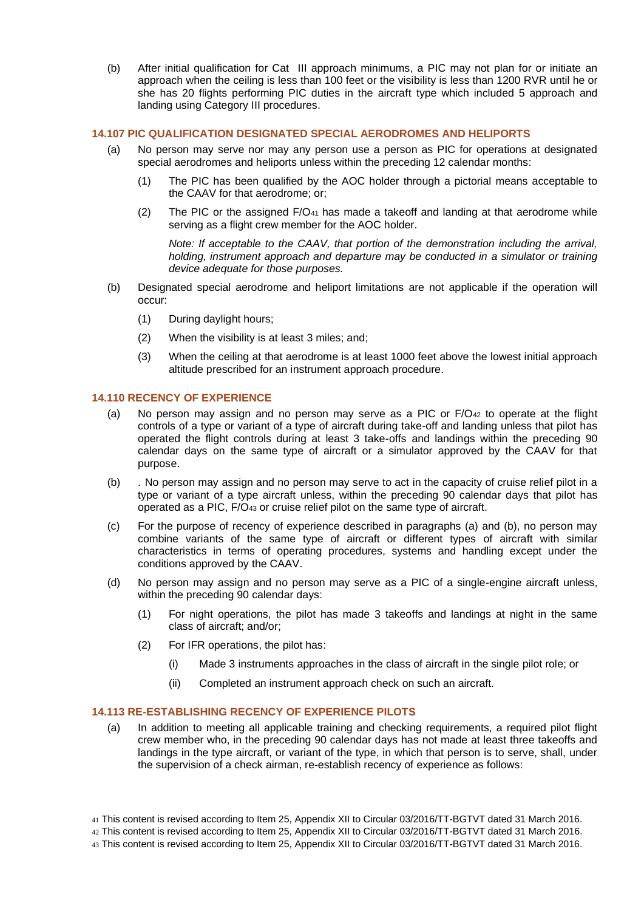(b) After initial qualification for Cat III approach minimums, a PIC may not plan for or initiate an approach when the ceiling is less than 100 feet or the visibility is less than 1200 RVR until he or she has 20 flights performing PIC duties in the aircraft type which included 5 approach and landing using Category III procedures.

### <span id="page-14-0"></span>**14.107 PIC QUALIFICATION DESIGNATED SPECIAL AERODROMES AND HELIPORTS**

- (a) No person may serve nor may any person use a person as PIC for operations at designated special aerodromes and heliports unless within the preceding 12 calendar months:
	- (1) The PIC has been qualified by the AOC holder through a pictorial means acceptable to the CAAV for that aerodrome; or;
	- (2) The PIC or the assigned  $F/O_{41}$  has made a takeoff and landing at that aerodrome while serving as a flight crew member for the AOC holder.

*Note: If acceptable to the CAAV, that portion of the demonstration including the arrival, holding, instrument approach and departure may be conducted in a simulator or training device adequate for those purposes.*

- (b) Designated special aerodrome and heliport limitations are not applicable if the operation will occur:
	- (1) During daylight hours;
	- (2) When the visibility is at least 3 miles; and;
	- (3) When the ceiling at that aerodrome is at least 1000 feet above the lowest initial approach altitude prescribed for an instrument approach procedure.

# <span id="page-14-1"></span>**14.110 RECENCY OF EXPERIENCE**

- (a) No person may assign and no person may serve as a PIC or  $F/O_{42}$  to operate at the flight controls of a type or variant of a type of aircraft during take-off and landing unless that pilot has operated the flight controls during at least 3 take-offs and landings within the preceding 90 calendar days on the same type of aircraft or a simulator approved by the CAAV for that purpose.
- (b) . No person may assign and no person may serve to act in the capacity of cruise relief pilot in a type or variant of a type aircraft unless, within the preceding 90 calendar days that pilot has operated as a PIC, F/O<sup>43</sup> or cruise relief pilot on the same type of aircraft.
- (c) For the purpose of recency of experience described in paragraphs (a) and (b), no person may combine variants of the same type of aircraft or different types of aircraft with similar characteristics in terms of operating procedures, systems and handling except under the conditions approved by the CAAV.
- (d) No person may assign and no person may serve as a PIC of a single-engine aircraft unless, within the preceding 90 calendar days:
	- (1) For night operations, the pilot has made 3 takeoffs and landings at night in the same class of aircraft; and/or;
	- (2) For IFR operations, the pilot has:
		- (i) Made 3 instruments approaches in the class of aircraft in the single pilot role; or
		- (ii) Completed an instrument approach check on such an aircraft.

# <span id="page-14-2"></span>**14.113 RE-ESTABLISHING RECENCY OF EXPERIENCE PILOTS**

- (a) In addition to meeting all applicable training and checking requirements, a required pilot flight crew member who, in the preceding 90 calendar days has not made at least three takeoffs and landings in the type aircraft, or variant of the type, in which that person is to serve, shall, under the supervision of a check airman, re-establish recency of experience as follows:
- 41 This content is revised according to Item 25, Appendix XII to Circular 03/2016/TT-BGTVT dated 31 March 2016.
- 42 This content is revised according to Item 25, Appendix XII to Circular 03/2016/TT-BGTVT dated 31 March 2016.
- 43 This content is revised according to Item 25, Appendix XII to Circular 03/2016/TT-BGTVT dated 31 March 2016.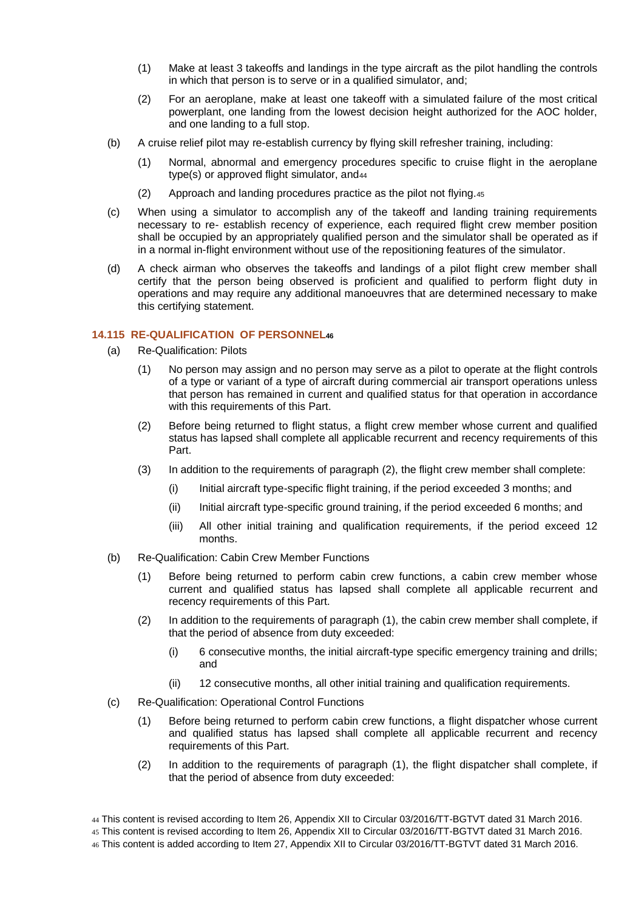- (1) Make at least 3 takeoffs and landings in the type aircraft as the pilot handling the controls in which that person is to serve or in a qualified simulator, and;
- (2) For an aeroplane, make at least one takeoff with a simulated failure of the most critical powerplant, one landing from the lowest decision height authorized for the AOC holder, and one landing to a full stop.
- (b) A cruise relief pilot may re-establish currency by flying skill refresher training, including:
	- (1) Normal, abnormal and emergency procedures specific to cruise flight in the aeroplane type(s) or approved flight simulator, and<sup>44</sup>
	- (2) Approach and landing procedures practice as the pilot not flying.<sup>45</sup>
- (c) When using a simulator to accomplish any of the takeoff and landing training requirements necessary to re- establish recency of experience, each required flight crew member position shall be occupied by an appropriately qualified person and the simulator shall be operated as if in a normal in-flight environment without use of the repositioning features of the simulator.
- (d) A check airman who observes the takeoffs and landings of a pilot flight crew member shall certify that the person being observed is proficient and qualified to perform flight duty in operations and may require any additional manoeuvres that are determined necessary to make this certifying statement.

# <span id="page-15-0"></span>**14.115 RE-QUALIFICATION OF PERSONNEL<sup>46</sup>**

- (a) Re-Qualification: Pilots
	- (1) No person may assign and no person may serve as a pilot to operate at the flight controls of a type or variant of a type of aircraft during commercial air transport operations unless that person has remained in current and qualified status for that operation in accordance with this requirements of this Part.
	- (2) Before being returned to flight status, a flight crew member whose current and qualified status has lapsed shall complete all applicable recurrent and recency requirements of this Part.
	- (3) In addition to the requirements of paragraph (2), the flight crew member shall complete:
		- (i) Initial aircraft type-specific flight training, if the period exceeded 3 months; and
		- (ii) Initial aircraft type-specific ground training, if the period exceeded 6 months; and
		- (iii) All other initial training and qualification requirements, if the period exceed 12 months.
- (b) Re-Qualification: Cabin Crew Member Functions
	- (1) Before being returned to perform cabin crew functions, a cabin crew member whose current and qualified status has lapsed shall complete all applicable recurrent and recency requirements of this Part.
	- (2) In addition to the requirements of paragraph (1), the cabin crew member shall complete, if that the period of absence from duty exceeded:
		- (i) 6 consecutive months, the initial aircraft-type specific emergency training and drills; and
		- (ii) 12 consecutive months, all other initial training and qualification requirements.
- (c) Re-Qualification: Operational Control Functions
	- (1) Before being returned to perform cabin crew functions, a flight dispatcher whose current and qualified status has lapsed shall complete all applicable recurrent and recency requirements of this Part.
	- (2) In addition to the requirements of paragraph (1), the flight dispatcher shall complete, if that the period of absence from duty exceeded:

<sup>44</sup> This content is revised according to Item 26, Appendix XII to Circular 03/2016/TT-BGTVT dated 31 March 2016.

<sup>45</sup> This content is revised according to Item 26, Appendix XII to Circular 03/2016/TT-BGTVT dated 31 March 2016.

<sup>46</sup> This content is added according to Item 27, Appendix XII to Circular 03/2016/TT-BGTVT dated 31 March 2016.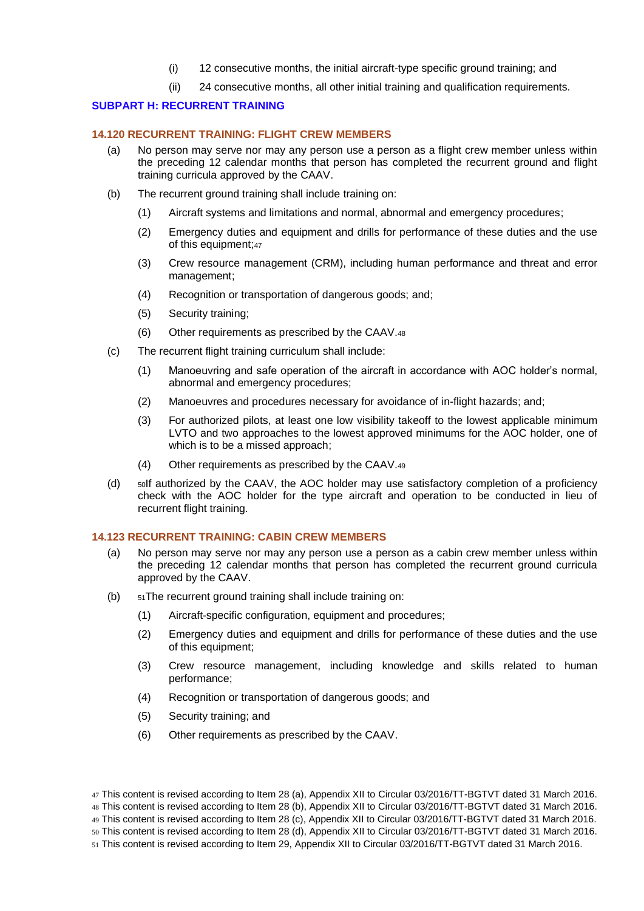- (i) 12 consecutive months, the initial aircraft-type specific ground training; and
- (ii) 24 consecutive months, all other initial training and qualification requirements.

### <span id="page-16-0"></span>**SUBPART H: RECURRENT TRAINING**

#### <span id="page-16-1"></span>**14.120 RECURRENT TRAINING: FLIGHT CREW MEMBERS**

- (a) No person may serve nor may any person use a person as a flight crew member unless within the preceding 12 calendar months that person has completed the recurrent ground and flight training curricula approved by the CAAV.
- (b) The recurrent ground training shall include training on:
	- (1) Aircraft systems and limitations and normal, abnormal and emergency procedures;
	- (2) Emergency duties and equipment and drills for performance of these duties and the use of this equipment;<sup>47</sup>
	- (3) Crew resource management (CRM), including human performance and threat and error management;
	- (4) Recognition or transportation of dangerous goods; and;
	- (5) Security training;
	- (6) Other requirements as prescribed by the CAAV.<sup>48</sup>
- (c) The recurrent flight training curriculum shall include:
	- (1) Manoeuvring and safe operation of the aircraft in accordance with AOC holder's normal, abnormal and emergency procedures;
	- (2) Manoeuvres and procedures necessary for avoidance of in-flight hazards; and;
	- (3) For authorized pilots, at least one low visibility takeoff to the lowest applicable minimum LVTO and two approaches to the lowest approved minimums for the AOC holder, one of which is to be a missed approach;
	- (4) Other requirements as prescribed by the CAAV.<sup>49</sup>
- (d) solf authorized by the CAAV, the AOC holder may use satisfactory completion of a proficiency check with the AOC holder for the type aircraft and operation to be conducted in lieu of recurrent flight training.

### <span id="page-16-2"></span>**14.123 RECURRENT TRAINING: CABIN CREW MEMBERS**

- (a) No person may serve nor may any person use a person as a cabin crew member unless within the preceding 12 calendar months that person has completed the recurrent ground curricula approved by the CAAV.
- (b) <sup>51</sup>The recurrent ground training shall include training on:
	- (1) Aircraft-specific configuration, equipment and procedures;
	- (2) Emergency duties and equipment and drills for performance of these duties and the use of this equipment;
	- (3) Crew resource management, including knowledge and skills related to human performance;
	- (4) Recognition or transportation of dangerous goods; and
	- (5) Security training; and
	- (6) Other requirements as prescribed by the CAAV.

<sup>47</sup> This content is revised according to Item 28 (a), Appendix XII to Circular 03/2016/TT-BGTVT dated 31 March 2016. 48 This content is revised according to Item 28 (b), Appendix XII to Circular 03/2016/TT-BGTVT dated 31 March 2016. 49 This content is revised according to Item 28 (c), Appendix XII to Circular 03/2016/TT-BGTVT dated 31 March 2016. 50 This content is revised according to Item 28 (d), Appendix XII to Circular 03/2016/TT-BGTVT dated 31 March 2016. 51 This content is revised according to Item 29, Appendix XII to Circular 03/2016/TT-BGTVT dated 31 March 2016.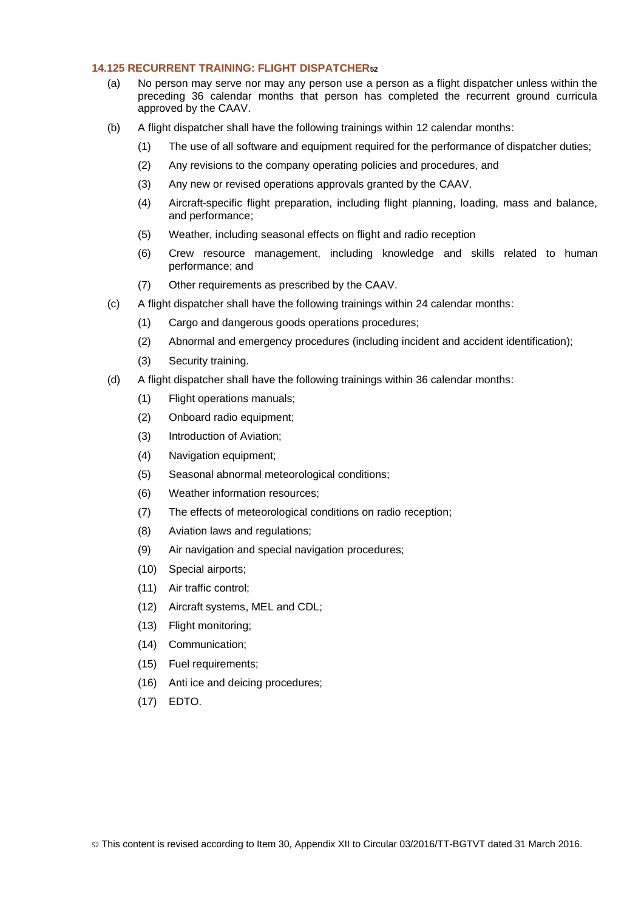# <span id="page-17-0"></span>**14.125 RECURRENT TRAINING: FLIGHT DISPATCHER<sup>52</sup>**

- (a) No person may serve nor may any person use a person as a flight dispatcher unless within the preceding 36 calendar months that person has completed the recurrent ground curricula approved by the CAAV.
- (b) A flight dispatcher shall have the following trainings within 12 calendar months:
	- (1) The use of all software and equipment required for the performance of dispatcher duties;
	- (2) Any revisions to the company operating policies and procedures, and
	- (3) Any new or revised operations approvals granted by the CAAV.
	- (4) Aircraft-specific flight preparation, including flight planning, loading, mass and balance, and performance;
	- (5) Weather, including seasonal effects on flight and radio reception
	- (6) Crew resource management, including knowledge and skills related to human performance; and
	- (7) Other requirements as prescribed by the CAAV.
- (c) A flight dispatcher shall have the following trainings within 24 calendar months:
	- (1) Cargo and dangerous goods operations procedures;
	- (2) Abnormal and emergency procedures (including incident and accident identification);
	- (3) Security training.
- (d) A flight dispatcher shall have the following trainings within 36 calendar months:
	- (1) Flight operations manuals;
	- (2) Onboard radio equipment;
	- (3) Introduction of Aviation;
	- (4) Navigation equipment;
	- (5) Seasonal abnormal meteorological conditions;
	- (6) Weather information resources;
	- (7) The effects of meteorological conditions on radio reception;
	- (8) Aviation laws and regulations;
	- (9) Air navigation and special navigation procedures;
	- (10) Special airports;
	- (11) Air traffic control;
	- (12) Aircraft systems, MEL and CDL;
	- (13) Flight monitoring;
	- (14) Communication;
	- (15) Fuel requirements;
	- (16) Anti ice and deicing procedures;
	- (17) EDTO.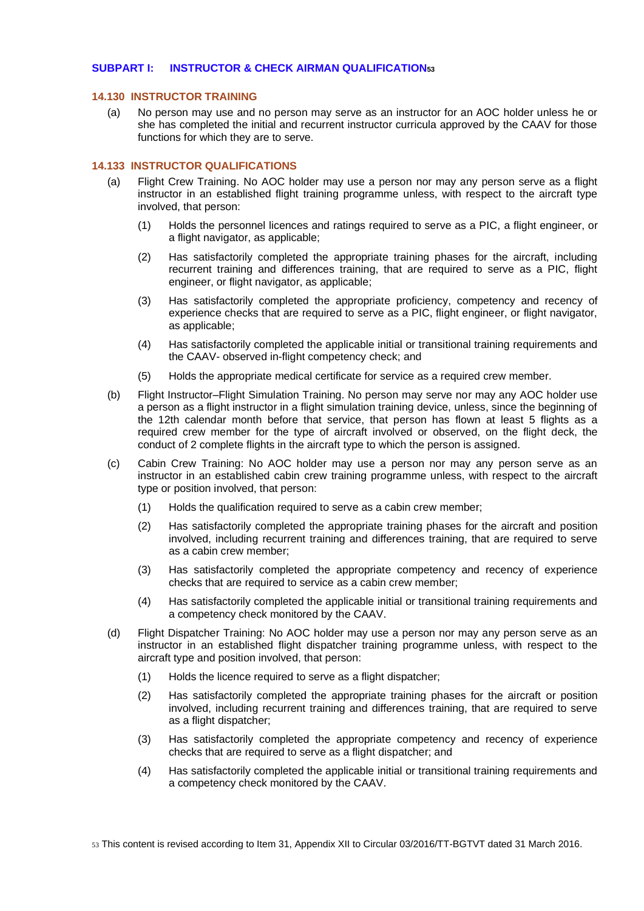# <span id="page-18-0"></span>**SUBPART I: INSTRUCTOR & CHECK AIRMAN QUALIFICATION<sup>53</sup>**

#### <span id="page-18-1"></span>**14.130 INSTRUCTOR TRAINING**

(a) No person may use and no person may serve as an instructor for an AOC holder unless he or she has completed the initial and recurrent instructor curricula approved by the CAAV for those functions for which they are to serve.

# <span id="page-18-2"></span>**14.133 INSTRUCTOR QUALIFICATIONS**

- (a) Flight Crew Training. No AOC holder may use a person nor may any person serve as a flight instructor in an established flight training programme unless, with respect to the aircraft type involved, that person:
	- (1) Holds the personnel licences and ratings required to serve as a PIC, a flight engineer, or a flight navigator, as applicable;
	- (2) Has satisfactorily completed the appropriate training phases for the aircraft, including recurrent training and differences training, that are required to serve as a PIC, flight engineer, or flight navigator, as applicable;
	- (3) Has satisfactorily completed the appropriate proficiency, competency and recency of experience checks that are required to serve as a PIC, flight engineer, or flight navigator, as applicable;
	- (4) Has satisfactorily completed the applicable initial or transitional training requirements and the CAAV- observed in-flight competency check; and
	- (5) Holds the appropriate medical certificate for service as a required crew member.
- (b) Flight Instructor–Flight Simulation Training. No person may serve nor may any AOC holder use a person as a flight instructor in a flight simulation training device, unless, since the beginning of the 12th calendar month before that service, that person has flown at least 5 flights as a required crew member for the type of aircraft involved or observed, on the flight deck, the conduct of 2 complete flights in the aircraft type to which the person is assigned.
- (c) Cabin Crew Training: No AOC holder may use a person nor may any person serve as an instructor in an established cabin crew training programme unless, with respect to the aircraft type or position involved, that person:
	- (1) Holds the qualification required to serve as a cabin crew member;
	- (2) Has satisfactorily completed the appropriate training phases for the aircraft and position involved, including recurrent training and differences training, that are required to serve as a cabin crew member;
	- (3) Has satisfactorily completed the appropriate competency and recency of experience checks that are required to service as a cabin crew member;
	- (4) Has satisfactorily completed the applicable initial or transitional training requirements and a competency check monitored by the CAAV.
- (d) Flight Dispatcher Training: No AOC holder may use a person nor may any person serve as an instructor in an established flight dispatcher training programme unless, with respect to the aircraft type and position involved, that person:
	- (1) Holds the licence required to serve as a flight dispatcher;
	- (2) Has satisfactorily completed the appropriate training phases for the aircraft or position involved, including recurrent training and differences training, that are required to serve as a flight dispatcher;
	- (3) Has satisfactorily completed the appropriate competency and recency of experience checks that are required to serve as a flight dispatcher; and
	- (4) Has satisfactorily completed the applicable initial or transitional training requirements and a competency check monitored by the CAAV.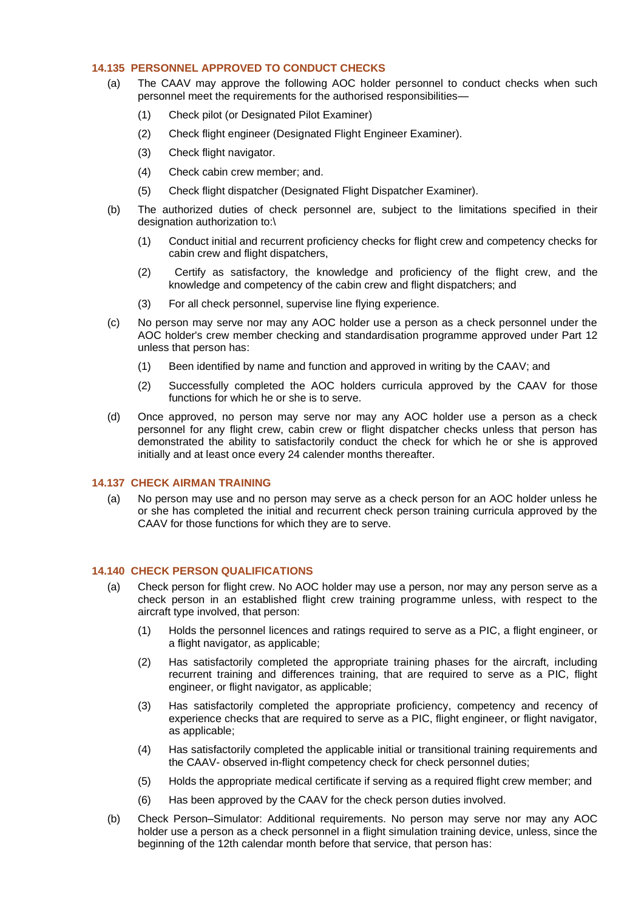# <span id="page-19-0"></span>**14.135 PERSONNEL APPROVED TO CONDUCT CHECKS**

- (a) The CAAV may approve the following AOC holder personnel to conduct checks when such personnel meet the requirements for the authorised responsibilities—
	- (1) Check pilot (or Designated Pilot Examiner)
	- (2) Check flight engineer (Designated Flight Engineer Examiner).
	- (3) Check flight navigator.
	- (4) Check cabin crew member; and.
	- (5) Check flight dispatcher (Designated Flight Dispatcher Examiner).
- (b) The authorized duties of check personnel are, subject to the limitations specified in their designation authorization to:\
	- (1) Conduct initial and recurrent proficiency checks for flight crew and competency checks for cabin crew and flight dispatchers,
	- (2) Certify as satisfactory, the knowledge and proficiency of the flight crew, and the knowledge and competency of the cabin crew and flight dispatchers; and
	- (3) For all check personnel, supervise line flying experience.
- (c) No person may serve nor may any AOC holder use a person as a check personnel under the AOC holder's crew member checking and standardisation programme approved under Part 12 unless that person has:
	- (1) Been identified by name and function and approved in writing by the CAAV; and
	- (2) Successfully completed the AOC holders curricula approved by the CAAV for those functions for which he or she is to serve.
- (d) Once approved, no person may serve nor may any AOC holder use a person as a check personnel for any flight crew, cabin crew or flight dispatcher checks unless that person has demonstrated the ability to satisfactorily conduct the check for which he or she is approved initially and at least once every 24 calender months thereafter.

#### <span id="page-19-1"></span>**14.137 CHECK AIRMAN TRAINING**

(a) No person may use and no person may serve as a check person for an AOC holder unless he or she has completed the initial and recurrent check person training curricula approved by the CAAV for those functions for which they are to serve.

#### <span id="page-19-2"></span>**14.140 CHECK PERSON QUALIFICATIONS**

- (a) Check person for flight crew. No AOC holder may use a person, nor may any person serve as a check person in an established flight crew training programme unless, with respect to the aircraft type involved, that person:
	- (1) Holds the personnel licences and ratings required to serve as a PIC, a flight engineer, or a flight navigator, as applicable;
	- (2) Has satisfactorily completed the appropriate training phases for the aircraft, including recurrent training and differences training, that are required to serve as a PIC, flight engineer, or flight navigator, as applicable;
	- (3) Has satisfactorily completed the appropriate proficiency, competency and recency of experience checks that are required to serve as a PIC, flight engineer, or flight navigator, as applicable;
	- (4) Has satisfactorily completed the applicable initial or transitional training requirements and the CAAV- observed in-flight competency check for check personnel duties;
	- (5) Holds the appropriate medical certificate if serving as a required flight crew member; and
	- (6) Has been approved by the CAAV for the check person duties involved.
- (b) Check Person–Simulator: Additional requirements. No person may serve nor may any AOC holder use a person as a check personnel in a flight simulation training device, unless, since the beginning of the 12th calendar month before that service, that person has: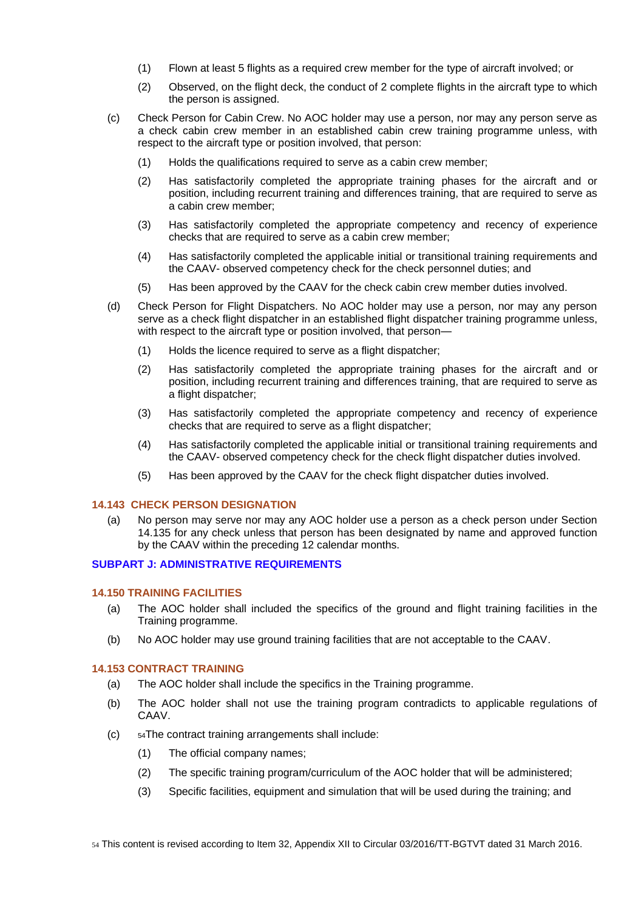- (1) Flown at least 5 flights as a required crew member for the type of aircraft involved; or
- (2) Observed, on the flight deck, the conduct of 2 complete flights in the aircraft type to which the person is assigned.
- (c) Check Person for Cabin Crew. No AOC holder may use a person, nor may any person serve as a check cabin crew member in an established cabin crew training programme unless, with respect to the aircraft type or position involved, that person:
	- (1) Holds the qualifications required to serve as a cabin crew member;
	- (2) Has satisfactorily completed the appropriate training phases for the aircraft and or position, including recurrent training and differences training, that are required to serve as a cabin crew member;
	- (3) Has satisfactorily completed the appropriate competency and recency of experience checks that are required to serve as a cabin crew member;
	- (4) Has satisfactorily completed the applicable initial or transitional training requirements and the CAAV- observed competency check for the check personnel duties; and
	- (5) Has been approved by the CAAV for the check cabin crew member duties involved.
- (d) Check Person for Flight Dispatchers. No AOC holder may use a person, nor may any person serve as a check flight dispatcher in an established flight dispatcher training programme unless, with respect to the aircraft type or position involved, that person-
	- (1) Holds the licence required to serve as a flight dispatcher;
	- (2) Has satisfactorily completed the appropriate training phases for the aircraft and or position, including recurrent training and differences training, that are required to serve as a flight dispatcher;
	- (3) Has satisfactorily completed the appropriate competency and recency of experience checks that are required to serve as a flight dispatcher;
	- (4) Has satisfactorily completed the applicable initial or transitional training requirements and the CAAV- observed competency check for the check flight dispatcher duties involved.
	- (5) Has been approved by the CAAV for the check flight dispatcher duties involved.

# <span id="page-20-0"></span>**14.143 CHECK PERSON DESIGNATION**

(a) No person may serve nor may any AOC holder use a person as a check person under Section 14.135 for any check unless that person has been designated by name and approved function by the CAAV within the preceding 12 calendar months.

# <span id="page-20-1"></span>**SUBPART J: ADMINISTRATIVE REQUIREMENTS**

#### <span id="page-20-2"></span>**14.150 TRAINING FACILITIES**

- (a) The AOC holder shall included the specifics of the ground and flight training facilities in the Training programme.
- (b) No AOC holder may use ground training facilities that are not acceptable to the CAAV.

### <span id="page-20-3"></span>**14.153 CONTRACT TRAINING**

- (a) The AOC holder shall include the specifics in the Training programme.
- (b) The AOC holder shall not use the training program contradicts to applicable regulations of CAAV.
- (c) <sup>54</sup>The contract training arrangements shall include:
	- (1) The official company names;
	- (2) The specific training program/curriculum of the AOC holder that will be administered;
	- (3) Specific facilities, equipment and simulation that will be used during the training; and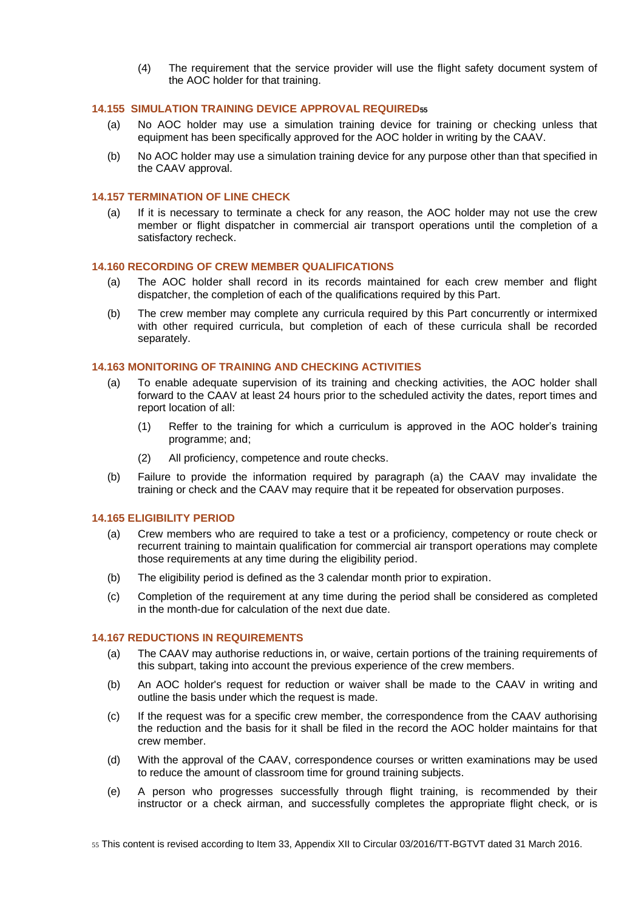(4) The requirement that the service provider will use the flight safety document system of the AOC holder for that training.

### <span id="page-21-0"></span>**14.155 SIMULATION TRAINING DEVICE APPROVAL REQUIRED<sup>55</sup>**

- (a) No AOC holder may use a simulation training device for training or checking unless that equipment has been specifically approved for the AOC holder in writing by the CAAV.
- (b) No AOC holder may use a simulation training device for any purpose other than that specified in the CAAV approval.

### <span id="page-21-1"></span>**14.157 TERMINATION OF LINE CHECK**

(a) If it is necessary to terminate a check for any reason, the AOC holder may not use the crew member or flight dispatcher in commercial air transport operations until the completion of a satisfactory recheck.

# <span id="page-21-2"></span>**14.160 RECORDING OF CREW MEMBER QUALIFICATIONS**

- (a) The AOC holder shall record in its records maintained for each crew member and flight dispatcher, the completion of each of the qualifications required by this Part.
- (b) The crew member may complete any curricula required by this Part concurrently or intermixed with other required curricula, but completion of each of these curricula shall be recorded separately.

# <span id="page-21-3"></span>**14.163 MONITORING OF TRAINING AND CHECKING ACTIVITIES**

- (a) To enable adequate supervision of its training and checking activities, the AOC holder shall forward to the CAAV at least 24 hours prior to the scheduled activity the dates, report times and report location of all:
	- (1) Reffer to the training for which a curriculum is approved in the AOC holder's training programme; and;
	- (2) All proficiency, competence and route checks.
- (b) Failure to provide the information required by paragraph (a) the CAAV may invalidate the training or check and the CAAV may require that it be repeated for observation purposes.

### <span id="page-21-4"></span>**14.165 ELIGIBILITY PERIOD**

- (a) Crew members who are required to take a test or a proficiency, competency or route check or recurrent training to maintain qualification for commercial air transport operations may complete those requirements at any time during the eligibility period.
- (b) The eligibility period is defined as the 3 calendar month prior to expiration.
- (c) Completion of the requirement at any time during the period shall be considered as completed in the month-due for calculation of the next due date.

### <span id="page-21-5"></span>**14.167 REDUCTIONS IN REQUIREMENTS**

- (a) The CAAV may authorise reductions in, or waive, certain portions of the training requirements of this subpart, taking into account the previous experience of the crew members.
- (b) An AOC holder's request for reduction or waiver shall be made to the CAAV in writing and outline the basis under which the request is made.
- (c) If the request was for a specific crew member, the correspondence from the CAAV authorising the reduction and the basis for it shall be filed in the record the AOC holder maintains for that crew member.
- (d) With the approval of the CAAV, correspondence courses or written examinations may be used to reduce the amount of classroom time for ground training subjects.
- (e) A person who progresses successfully through flight training, is recommended by their instructor or a check airman, and successfully completes the appropriate flight check, or is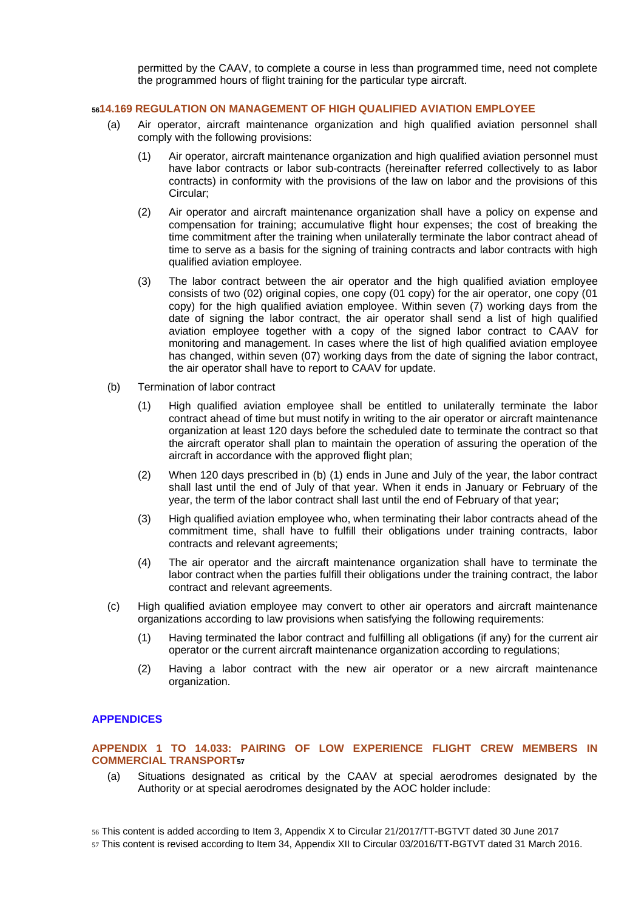permitted by the CAAV, to complete a course in less than programmed time, need not complete the programmed hours of flight training for the particular type aircraft.

# <span id="page-22-0"></span>**<sup>56</sup>14.169 REGULATION ON MANAGEMENT OF HIGH QUALIFIED AVIATION EMPLOYEE**

- (a) Air operator, aircraft maintenance organization and high qualified aviation personnel shall comply with the following provisions:
	- (1) Air operator, aircraft maintenance organization and high qualified aviation personnel must have labor contracts or labor sub-contracts (hereinafter referred collectively to as labor contracts) in conformity with the provisions of the law on labor and the provisions of this Circular;
	- (2) Air operator and aircraft maintenance organization shall have a policy on expense and compensation for training; accumulative flight hour expenses; the cost of breaking the time commitment after the training when unilaterally terminate the labor contract ahead of time to serve as a basis for the signing of training contracts and labor contracts with high qualified aviation employee.
	- (3) The labor contract between the air operator and the high qualified aviation employee consists of two (02) original copies, one copy (01 copy) for the air operator, one copy (01 copy) for the high qualified aviation employee. Within seven (7) working days from the date of signing the labor contract, the air operator shall send a list of high qualified aviation employee together with a copy of the signed labor contract to CAAV for monitoring and management. In cases where the list of high qualified aviation employee has changed, within seven (07) working days from the date of signing the labor contract, the air operator shall have to report to CAAV for update.
- (b) Termination of labor contract
	- (1) High qualified aviation employee shall be entitled to unilaterally terminate the labor contract ahead of time but must notify in writing to the air operator or aircraft maintenance organization at least 120 days before the scheduled date to terminate the contract so that the aircraft operator shall plan to maintain the operation of assuring the operation of the aircraft in accordance with the approved flight plan;
	- (2) When 120 days prescribed in (b) (1) ends in June and July of the year, the labor contract shall last until the end of July of that year. When it ends in January or February of the year, the term of the labor contract shall last until the end of February of that year;
	- (3) High qualified aviation employee who, when terminating their labor contracts ahead of the commitment time, shall have to fulfill their obligations under training contracts, labor contracts and relevant agreements;
	- (4) The air operator and the aircraft maintenance organization shall have to terminate the labor contract when the parties fulfill their obligations under the training contract, the labor contract and relevant agreements.
- (c) High qualified aviation employee may convert to other air operators and aircraft maintenance organizations according to law provisions when satisfying the following requirements:
	- (1) Having terminated the labor contract and fulfilling all obligations (if any) for the current air operator or the current aircraft maintenance organization according to regulations;
	- (2) Having a labor contract with the new air operator or a new aircraft maintenance organization.

# <span id="page-22-1"></span>**APPENDICES**

# <span id="page-22-2"></span>**APPENDIX 1 TO 14.033: PAIRING OF LOW EXPERIENCE FLIGHT CREW MEMBERS IN COMMERCIAL TRANSPORT<sup>57</sup>**

(a) Situations designated as critical by the CAAV at special aerodromes designated by the Authority or at special aerodromes designated by the AOC holder include:

57 This content is revised according to Item 34, Appendix XII to Circular 03/2016/TT-BGTVT dated 31 March 2016.

<sup>56</sup> This content is added according to Item 3, Appendix X to Circular 21/2017/TT-BGTVT dated 30 June 2017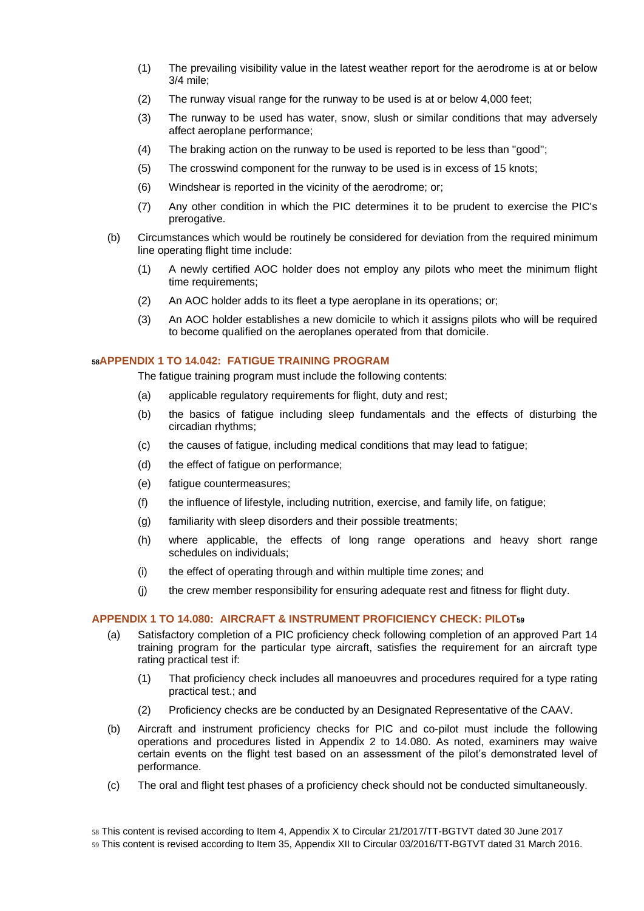- (1) The prevailing visibility value in the latest weather report for the aerodrome is at or below 3/4 mile;
- (2) The runway visual range for the runway to be used is at or below 4,000 feet;
- (3) The runway to be used has water, snow, slush or similar conditions that may adversely affect aeroplane performance;
- (4) The braking action on the runway to be used is reported to be less than "good";
- (5) The crosswind component for the runway to be used is in excess of 15 knots;
- (6) Windshear is reported in the vicinity of the aerodrome; or;
- (7) Any other condition in which the PIC determines it to be prudent to exercise the PIC's prerogative.
- (b) Circumstances which would be routinely be considered for deviation from the required minimum line operating flight time include:
	- (1) A newly certified AOC holder does not employ any pilots who meet the minimum flight time requirements;
	- (2) An AOC holder adds to its fleet a type aeroplane in its operations; or;
	- (3) An AOC holder establishes a new domicile to which it assigns pilots who will be required to become qualified on the aeroplanes operated from that domicile.

### <span id="page-23-0"></span>**<sup>58</sup>APPENDIX 1 TO 14.042: FATIGUE TRAINING PROGRAM**

The fatigue training program must include the following contents:

- (a) applicable regulatory requirements for flight, duty and rest;
- (b) the basics of fatigue including sleep fundamentals and the effects of disturbing the circadian rhythms;
- (c) the causes of fatigue, including medical conditions that may lead to fatigue;
- (d) the effect of fatigue on performance;
- (e) fatigue countermeasures;
- (f) the influence of lifestyle, including nutrition, exercise, and family life, on fatigue;
- (g) familiarity with sleep disorders and their possible treatments;
- (h) where applicable, the effects of long range operations and heavy short range schedules on individuals;
- (i) the effect of operating through and within multiple time zones; and
- (j) the crew member responsibility for ensuring adequate rest and fitness for flight duty.

# <span id="page-23-1"></span>**APPENDIX 1 TO 14.080: AIRCRAFT & INSTRUMENT PROFICIENCY CHECK: PILOT<sup>59</sup>**

- (a) Satisfactory completion of a PIC proficiency check following completion of an approved Part 14 training program for the particular type aircraft, satisfies the requirement for an aircraft type rating practical test if:
	- (1) That proficiency check includes all manoeuvres and procedures required for a type rating practical test.; and
	- (2) Proficiency checks are be conducted by an Designated Representative of the CAAV.
- (b) Aircraft and instrument proficiency checks for PIC and co-pilot must include the following operations and procedures listed in Appendix 2 to 14.080. As noted, examiners may waive certain events on the flight test based on an assessment of the pilot's demonstrated level of performance.
- (c) The oral and flight test phases of a proficiency check should not be conducted simultaneously.

59 This content is revised according to Item 35, Appendix XII to Circular 03/2016/TT-BGTVT dated 31 March 2016.

<sup>58</sup> This content is revised according to Item 4, Appendix X to Circular 21/2017/TT-BGTVT dated 30 June 2017